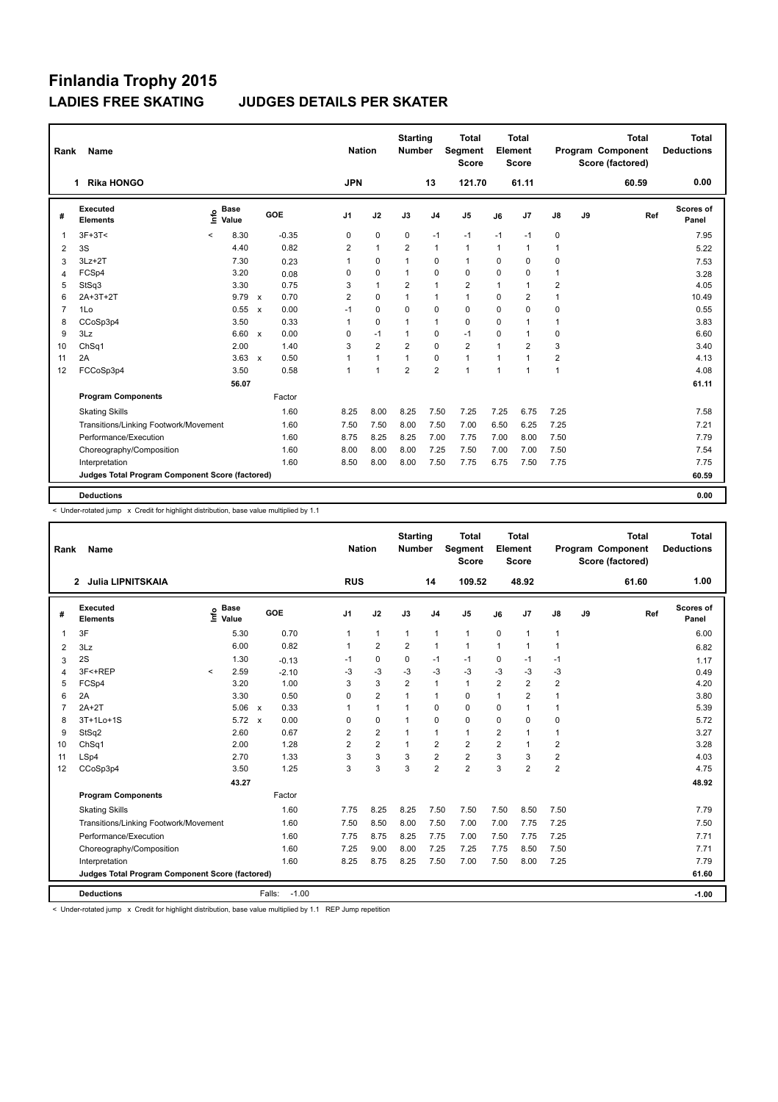| Rank           | <b>Name</b>                                     |                              |               |                                   |                | <b>Nation</b>  | <b>Starting</b><br><b>Number</b> |                | <b>Total</b><br><b>Segment</b><br><b>Score</b> |                | Total<br>Element<br><b>Score</b> |                         |    | <b>Total</b><br>Program Component<br>Score (factored) | Total<br><b>Deductions</b> |
|----------------|-------------------------------------------------|------------------------------|---------------|-----------------------------------|----------------|----------------|----------------------------------|----------------|------------------------------------------------|----------------|----------------------------------|-------------------------|----|-------------------------------------------------------|----------------------------|
|                | <b>Rika HONGO</b><br>1                          |                              |               |                                   | <b>JPN</b>     |                |                                  | 13             | 121.70                                         |                | 61.11                            |                         |    | 60.59                                                 | 0.00                       |
| #              | Executed<br><b>Elements</b>                     | <b>Base</b><br>lnfo<br>Value |               | GOE                               | J1             | J2             | J3                               | J <sub>4</sub> | J <sub>5</sub>                                 | J6             | J7                               | J8                      | J9 | Ref                                                   | Scores of<br>Panel         |
| $\mathbf 1$    | $3F+3T<$                                        | $\,<$                        | 8.30          | $-0.35$                           | 0              | 0              | 0                                | $-1$           | $-1$                                           | $-1$           | $-1$                             | 0                       |    |                                                       | 7.95                       |
| 2              | 3S                                              |                              | 4.40          | 0.82                              | 2              | $\mathbf{1}$   | $\overline{2}$                   | $\mathbf{1}$   | 1                                              | $\mathbf{1}$   | $\overline{1}$                   | $\overline{1}$          |    |                                                       | 5.22                       |
| 3              | $3Lz + 2T$                                      |                              | 7.30          | 0.23                              | 1              | 0              | 1                                | $\mathbf 0$    | $\mathbf{1}$                                   | $\Omega$       | 0                                | 0                       |    |                                                       | 7.53                       |
| 4              | FCSp4                                           |                              | 3.20          | 0.08                              | 0              | 0              | $\mathbf{1}$                     | $\mathbf 0$    | 0                                              | 0              | 0                                | $\mathbf{1}$            |    |                                                       | 3.28                       |
| 5              | StSq3                                           |                              | 3.30          | 0.75                              | 3              | $\mathbf{1}$   | $\overline{2}$                   | $\mathbf{1}$   | $\overline{2}$                                 | $\overline{1}$ | $\overline{1}$                   | $\overline{2}$          |    |                                                       | 4.05                       |
| 6              | 2A+3T+2T                                        |                              | $9.79 \times$ | 0.70                              | $\overline{2}$ | $\mathbf 0$    | $\mathbf{1}$                     | $\mathbf{1}$   | $\mathbf{1}$                                   | $\Omega$       | $\overline{2}$                   | $\overline{1}$          |    |                                                       | 10.49                      |
| $\overline{7}$ | 1Lo                                             |                              | 0.55          | 0.00<br>$\boldsymbol{\mathsf{x}}$ | $-1$           | $\Omega$       | $\Omega$                         | $\Omega$       | $\Omega$                                       | $\Omega$       | $\mathbf 0$                      | $\mathbf 0$             |    |                                                       | 0.55                       |
| 8              | CCoSp3p4                                        |                              | 3.50          | 0.33                              | $\mathbf{1}$   | 0              | $\mathbf{1}$                     | 1              | 0                                              | $\Omega$       | $\overline{1}$                   | 1                       |    |                                                       | 3.83                       |
| 9              | 3Lz                                             |                              | 6.60          | 0.00<br>$\boldsymbol{\mathsf{x}}$ | 0              | $-1$           | 1                                | $\mathbf 0$    | $-1$                                           | $\Omega$       | $\overline{1}$                   | 0                       |    |                                                       | 6.60                       |
| 10             | ChSq1                                           |                              | 2.00          | 1.40                              | 3              | $\overline{2}$ | $\overline{2}$                   | $\mathbf 0$    | $\overline{2}$                                 | $\overline{1}$ | $\overline{2}$                   | 3                       |    |                                                       | 3.40                       |
| 11             | 2A                                              |                              | 3.63          | 0.50<br>$\mathbf{x}$              | 1              | $\mathbf{1}$   | $\overline{1}$                   | $\mathbf 0$    | $\mathbf{1}$                                   | 1              | $\overline{1}$                   | $\overline{\mathbf{c}}$ |    |                                                       | 4.13                       |
| 12             | FCCoSp3p4                                       |                              | 3.50          | 0.58                              | $\mathbf{1}$   | $\mathbf{1}$   | $\overline{2}$                   | $\overline{2}$ | 1                                              | $\overline{1}$ | $\overline{1}$                   | $\mathbf{1}$            |    |                                                       | 4.08                       |
|                |                                                 |                              | 56.07         |                                   |                |                |                                  |                |                                                |                |                                  |                         |    |                                                       | 61.11                      |
|                | <b>Program Components</b>                       |                              |               | Factor                            |                |                |                                  |                |                                                |                |                                  |                         |    |                                                       |                            |
|                | <b>Skating Skills</b>                           |                              |               | 1.60                              | 8.25           | 8.00           | 8.25                             | 7.50           | 7.25                                           | 7.25           | 6.75                             | 7.25                    |    |                                                       | 7.58                       |
|                | Transitions/Linking Footwork/Movement           |                              |               | 1.60                              | 7.50           | 7.50           | 8.00                             | 7.50           | 7.00                                           | 6.50           | 6.25                             | 7.25                    |    |                                                       | 7.21                       |
|                | Performance/Execution                           |                              |               | 1.60                              | 8.75           | 8.25           | 8.25                             | 7.00           | 7.75                                           | 7.00           | 8.00                             | 7.50                    |    |                                                       | 7.79                       |
|                | Choreography/Composition                        |                              |               | 1.60                              | 8.00           | 8.00           | 8.00                             | 7.25           | 7.50                                           | 7.00           | 7.00                             | 7.50                    |    |                                                       | 7.54                       |
|                | Interpretation                                  |                              |               | 1.60                              | 8.50           | 8.00           | 8.00                             | 7.50           | 7.75                                           | 6.75           | 7.50                             | 7.75                    |    |                                                       | 7.75                       |
|                | Judges Total Program Component Score (factored) |                              |               |                                   |                |                |                                  |                |                                                |                |                                  |                         |    |                                                       | 60.59                      |
|                | <b>Deductions</b>                               |                              |               |                                   |                |                |                                  |                |                                                |                |                                  |                         |    |                                                       | 0.00                       |

< Under-rotated jump x Credit for highlight distribution, base value multiplied by 1.1

| Rank           | Name                                            |                                  |                      | <b>Nation</b>  |                | <b>Starting</b><br><b>Number</b> |                | <b>Total</b><br>Segment<br><b>Score</b> |                | <b>Total</b><br>Element<br><b>Score</b> |                |    | <b>Total</b><br>Program Component<br>Score (factored) | <b>Total</b><br><b>Deductions</b> |
|----------------|-------------------------------------------------|----------------------------------|----------------------|----------------|----------------|----------------------------------|----------------|-----------------------------------------|----------------|-----------------------------------------|----------------|----|-------------------------------------------------------|-----------------------------------|
|                | <b>Julia LIPNITSKAIA</b><br>2                   |                                  |                      | <b>RUS</b>     |                |                                  | 14             | 109.52                                  |                | 48.92                                   |                |    | 61.60                                                 | 1.00                              |
| #              | Executed<br><b>Elements</b>                     | <b>Base</b><br>e Base<br>E Value | GOE                  | J <sub>1</sub> | J2             | J3                               | J <sub>4</sub> | J5                                      | J6             | J7                                      | J8             | J9 | Ref                                                   | Scores of<br>Panel                |
| 1              | 3F                                              | 5.30                             | 0.70                 | $\mathbf{1}$   | $\mathbf{1}$   | $\mathbf{1}$                     | $\mathbf{1}$   | $\mathbf{1}$                            | 0              | $\blacktriangleleft$                    | 1              |    |                                                       | 6.00                              |
| 2              | 3Lz                                             | 6.00                             | 0.82                 |                | $\overline{2}$ | $\overline{2}$                   | $\mathbf{1}$   | $\mathbf{1}$                            | $\mathbf{1}$   | $\mathbf 1$                             | $\mathbf{1}$   |    |                                                       | 6.82                              |
| 3              | 2S                                              | 1.30                             | $-0.13$              | $-1$           | 0              | 0                                | $-1$           | -1                                      | 0              | $-1$                                    | -1             |    |                                                       | 1.17                              |
| 4              | 3F<+REP                                         | 2.59<br>$\overline{\phantom{a}}$ | $-2.10$              | -3             | $-3$           | -3                               | $-3$           | $-3$                                    | $-3$           | $-3$                                    | $-3$           |    |                                                       | 0.49                              |
| 5              | FCSp4                                           | 3.20                             | 1.00                 | 3              | 3              | $\overline{2}$                   | $\mathbf{1}$   | $\mathbf{1}$                            | $\overline{2}$ | $\overline{2}$                          | $\overline{2}$ |    |                                                       | 4.20                              |
| 6              | 2A                                              | 3.30                             | 0.50                 | 0              | $\overline{2}$ | $\mathbf{1}$                     | $\mathbf{1}$   | 0                                       | 1              | 2                                       | 1              |    |                                                       | 3.80                              |
| $\overline{7}$ | $2A+2T$                                         | 5.06                             | 0.33<br>$\mathsf{x}$ |                | $\mathbf{1}$   | $\mathbf 1$                      | $\mathbf 0$    | 0                                       | $\Omega$       | 1                                       | $\mathbf{1}$   |    |                                                       | 5.39                              |
| 8              | 3T+1Lo+1S                                       | 5.72                             | 0.00<br>$\mathbf{x}$ | 0              | $\mathbf 0$    |                                  | $\mathbf 0$    | 0                                       | $\mathbf 0$    | $\Omega$                                | 0              |    |                                                       | 5.72                              |
| 9              | StSq2                                           | 2.60                             | 0.67                 | $\overline{2}$ | $\overline{2}$ |                                  | $\mathbf{1}$   | $\mathbf{1}$                            | 2              | 1                                       | 1              |    |                                                       | 3.27                              |
| 10             | ChSq1                                           | 2.00                             | 1.28                 | $\overline{2}$ | $\overline{2}$ | $\mathbf{1}$                     | $\overline{2}$ | $\overline{2}$                          | $\overline{2}$ | 1                                       | $\overline{2}$ |    |                                                       | 3.28                              |
| 11             | LSp4                                            | 2.70                             | 1.33                 | 3              | 3              | 3                                | $\overline{2}$ | $\overline{2}$                          | 3              | 3                                       | $\overline{2}$ |    |                                                       | 4.03                              |
| 12             | CCoSp3p4                                        | 3.50                             | 1.25                 | 3              | 3              | 3                                | $\overline{2}$ | $\overline{2}$                          | 3              | $\overline{2}$                          | $\overline{2}$ |    |                                                       | 4.75                              |
|                |                                                 | 43.27                            |                      |                |                |                                  |                |                                         |                |                                         |                |    |                                                       | 48.92                             |
|                | <b>Program Components</b>                       |                                  | Factor               |                |                |                                  |                |                                         |                |                                         |                |    |                                                       |                                   |
|                | <b>Skating Skills</b>                           |                                  | 1.60                 | 7.75           | 8.25           | 8.25                             | 7.50           | 7.50                                    | 7.50           | 8.50                                    | 7.50           |    |                                                       | 7.79                              |
|                | Transitions/Linking Footwork/Movement           |                                  | 1.60                 | 7.50           | 8.50           | 8.00                             | 7.50           | 7.00                                    | 7.00           | 7.75                                    | 7.25           |    |                                                       | 7.50                              |
|                | Performance/Execution                           |                                  | 1.60                 | 7.75           | 8.75           | 8.25                             | 7.75           | 7.00                                    | 7.50           | 7.75                                    | 7.25           |    |                                                       | 7.71                              |
|                | Choreography/Composition                        |                                  | 1.60                 | 7.25           | 9.00           | 8.00                             | 7.25           | 7.25                                    | 7.75           | 8.50                                    | 7.50           |    |                                                       | 7.71                              |
|                | Interpretation                                  |                                  | 1.60                 | 8.25           | 8.75           | 8.25                             | 7.50           | 7.00                                    | 7.50           | 8.00                                    | 7.25           |    |                                                       | 7.79                              |
|                | Judges Total Program Component Score (factored) |                                  |                      |                |                |                                  |                |                                         |                |                                         |                |    |                                                       | 61.60                             |
|                | <b>Deductions</b>                               |                                  | $-1.00$<br>Falls:    |                |                |                                  |                |                                         |                |                                         |                |    |                                                       | $-1.00$                           |

< Under-rotated jump x Credit for highlight distribution, base value multiplied by 1.1 REP Jump repetition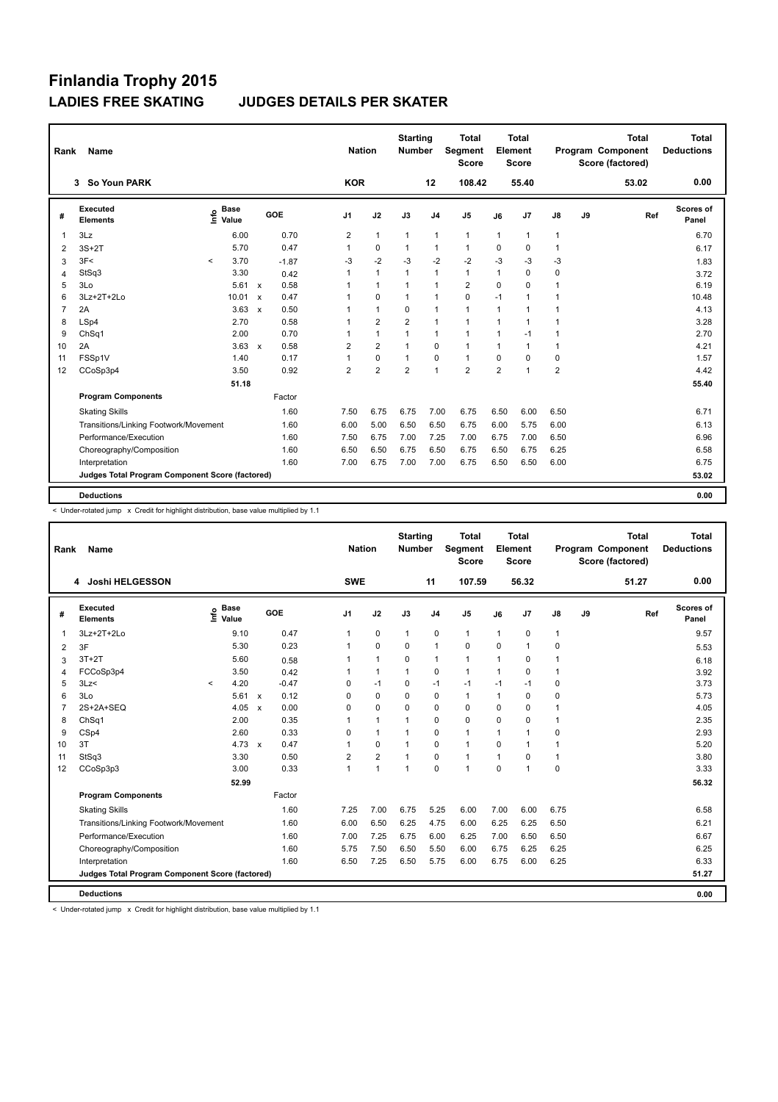| Rank           | <b>Name</b>                                     |         |                                  |              |         |                |            | <b>Nation</b>  | <b>Starting</b><br><b>Number</b> |                | <b>Total</b><br>Segment<br><b>Score</b> |                | <b>Total</b><br>Element<br><b>Score</b> |                |    | <b>Total</b><br>Program Component<br>Score (factored) |     | Total<br><b>Deductions</b> |
|----------------|-------------------------------------------------|---------|----------------------------------|--------------|---------|----------------|------------|----------------|----------------------------------|----------------|-----------------------------------------|----------------|-----------------------------------------|----------------|----|-------------------------------------------------------|-----|----------------------------|
|                | So Youn PARK<br>3                               |         |                                  |              |         |                | <b>KOR</b> |                |                                  | 12             | 108.42                                  |                | 55.40                                   |                |    | 53.02                                                 |     | 0.00                       |
| #              | <b>Executed</b><br><b>Elements</b>              |         | <b>Base</b><br>e Base<br>E Value |              | GOE     | J <sub>1</sub> |            | J2             | J3                               | J <sub>4</sub> | J5                                      | J6             | J7                                      | $\mathsf{J}8$  | J9 |                                                       | Ref | Scores of<br>Panel         |
| $\mathbf{1}$   | 3Lz                                             |         | 6.00                             |              | 0.70    | $\overline{2}$ |            | $\mathbf{1}$   | 1                                | $\mathbf{1}$   | $\mathbf{1}$                            | $\mathbf{1}$   | $\mathbf{1}$                            | $\mathbf{1}$   |    |                                                       |     | 6.70                       |
| $\overline{2}$ | $3S+2T$                                         |         | 5.70                             |              | 0.47    | $\mathbf{1}$   |            | 0              | 1                                | $\mathbf{1}$   | 1                                       | 0              | $\mathbf 0$                             | $\mathbf{1}$   |    |                                                       |     | 6.17                       |
| 3              | 3F<                                             | $\prec$ | 3.70                             |              | $-1.87$ | -3             |            | $-2$           | $-3$                             | $-2$           | $-2$                                    | $-3$           | $-3$                                    | $-3$           |    |                                                       |     | 1.83                       |
| 4              | StSq3                                           |         | 3.30                             |              | 0.42    | 1              |            | $\mathbf{1}$   | $\mathbf{1}$                     | 1              | $\mathbf{1}$                            | $\mathbf{1}$   | 0                                       | 0              |    |                                                       |     | 3.72                       |
| 5              | 3Lo                                             |         | 5.61                             | $\mathsf{x}$ | 0.58    | $\mathbf{1}$   |            | $\mathbf{1}$   | $\mathbf{1}$                     | 1              | $\overline{2}$                          | $\mathbf 0$    | $\mathbf 0$                             | 1              |    |                                                       |     | 6.19                       |
| 6              | 3Lz+2T+2Lo                                      |         | 10.01                            | $\mathsf{x}$ | 0.47    | $\mathbf{1}$   |            | $\Omega$       | $\mathbf{1}$                     | $\mathbf{1}$   | 0                                       | $-1$           | $\overline{1}$                          | 1              |    |                                                       |     | 10.48                      |
| $\overline{7}$ | 2A                                              |         | 3.63                             | $\mathsf{x}$ | 0.50    | 1              |            | $\mathbf{1}$   | $\Omega$                         | 1              | $\mathbf{1}$                            | $\mathbf{1}$   | $\overline{1}$                          | $\mathbf 1$    |    |                                                       |     | 4.13                       |
| 8              | LSp4                                            |         | 2.70                             |              | 0.58    | 1              |            | $\overline{2}$ | $\overline{2}$                   | 1              | $\mathbf{1}$                            | $\mathbf{1}$   | $\overline{1}$                          | 1              |    |                                                       |     | 3.28                       |
| 9              | ChSq1                                           |         | 2.00                             |              | 0.70    | 1              |            | $\mathbf{1}$   | $\mathbf{1}$                     | $\mathbf{1}$   | $\mathbf{1}$                            | $\mathbf{1}$   | $-1$                                    | 1              |    |                                                       |     | 2.70                       |
| 10             | 2A                                              |         | 3.63                             | $\mathsf{x}$ | 0.58    | $\overline{2}$ |            | $\overline{2}$ | $\mathbf{1}$                     | $\mathbf 0$    | $\mathbf{1}$                            | 1              | $\overline{1}$                          | $\mathbf{1}$   |    |                                                       |     | 4.21                       |
| 11             | FSSp1V                                          |         | 1.40                             |              | 0.17    | 1              |            | $\mathbf 0$    | $\mathbf{1}$                     | $\mathbf 0$    | 1                                       | $\Omega$       | $\mathbf 0$                             | $\mathbf 0$    |    |                                                       |     | 1.57                       |
| 12             | CCoSp3p4                                        |         | 3.50                             |              | 0.92    | 2              |            | $\overline{2}$ | $\overline{2}$                   | $\mathbf{1}$   | $\overline{2}$                          | $\overline{2}$ | $\overline{1}$                          | $\overline{2}$ |    |                                                       |     | 4.42                       |
|                |                                                 |         | 51.18                            |              |         |                |            |                |                                  |                |                                         |                |                                         |                |    |                                                       |     | 55.40                      |
|                | <b>Program Components</b>                       |         |                                  |              | Factor  |                |            |                |                                  |                |                                         |                |                                         |                |    |                                                       |     |                            |
|                | <b>Skating Skills</b>                           |         |                                  |              | 1.60    | 7.50           |            | 6.75           | 6.75                             | 7.00           | 6.75                                    | 6.50           | 6.00                                    | 6.50           |    |                                                       |     | 6.71                       |
|                | Transitions/Linking Footwork/Movement           |         |                                  |              | 1.60    | 6.00           |            | 5.00           | 6.50                             | 6.50           | 6.75                                    | 6.00           | 5.75                                    | 6.00           |    |                                                       |     | 6.13                       |
|                | Performance/Execution                           |         |                                  |              | 1.60    | 7.50           |            | 6.75           | 7.00                             | 7.25           | 7.00                                    | 6.75           | 7.00                                    | 6.50           |    |                                                       |     | 6.96                       |
|                | Choreography/Composition                        |         |                                  |              | 1.60    | 6.50           |            | 6.50           | 6.75                             | 6.50           | 6.75                                    | 6.50           | 6.75                                    | 6.25           |    |                                                       |     | 6.58                       |
|                | Interpretation                                  |         |                                  |              | 1.60    | 7.00           |            | 6.75           | 7.00                             | 7.00           | 6.75                                    | 6.50           | 6.50                                    | 6.00           |    |                                                       |     | 6.75                       |
|                | Judges Total Program Component Score (factored) |         |                                  |              |         |                |            |                |                                  |                |                                         |                |                                         |                |    |                                                       |     | 53.02                      |
|                | <b>Deductions</b>                               |         |                                  |              |         |                |            |                |                                  |                |                                         |                |                                         |                |    |                                                       |     | 0.00                       |

< Under-rotated jump x Credit for highlight distribution, base value multiplied by 1.1

| Rank           | Name                                            |                                  |       |                           |         |                | <b>Nation</b>  | <b>Starting</b><br><b>Number</b> |                | <b>Total</b><br>Segment<br><b>Score</b> |              | <b>Total</b><br>Element<br><b>Score</b> |               |    | <b>Total</b><br>Program Component<br>Score (factored) | <b>Total</b><br><b>Deductions</b> |
|----------------|-------------------------------------------------|----------------------------------|-------|---------------------------|---------|----------------|----------------|----------------------------------|----------------|-----------------------------------------|--------------|-----------------------------------------|---------------|----|-------------------------------------------------------|-----------------------------------|
|                | 4 Joshi HELGESSON                               |                                  |       |                           |         | <b>SWE</b>     |                |                                  | 11             | 107.59                                  |              | 56.32                                   |               |    | 51.27                                                 | 0.00                              |
| #              | Executed<br><b>Elements</b>                     | <b>Base</b><br>e Base<br>E Value |       | GOE                       |         | J <sub>1</sub> | J2             | J3                               | J <sub>4</sub> | J <sub>5</sub>                          | J6           | J7                                      | $\mathsf{J}8$ | J9 | Ref                                                   | Scores of<br>Panel                |
| 1              | 3Lz+2T+2Lo                                      |                                  | 9.10  |                           | 0.47    | 1              | $\mathbf 0$    | $\mathbf{1}$                     | $\mathbf 0$    | $\mathbf{1}$                            | $\mathbf{1}$ | 0                                       | 1             |    |                                                       | 9.57                              |
| 2              | 3F                                              |                                  | 5.30  |                           | 0.23    |                | $\Omega$       | $\Omega$                         | $\mathbf{1}$   | $\Omega$                                | $\Omega$     | 1                                       | 0             |    |                                                       | 5.53                              |
| 3              | $3T+2T$                                         |                                  | 5.60  |                           | 0.58    |                | 1              | 0                                | $\mathbf 1$    | $\mathbf{1}$                            | 1            | 0                                       | 1             |    |                                                       | 6.18                              |
| 4              | FCCoSp3p4                                       |                                  | 3.50  |                           | 0.42    |                | $\mathbf{1}$   | $\mathbf{1}$                     | $\mathbf 0$    | $\mathbf{1}$                            | 1            | $\Omega$                                | $\mathbf{1}$  |    |                                                       | 3.92                              |
| 5              | 3Lz                                             | $\prec$                          | 4.20  |                           | $-0.47$ | 0              | $-1$           | $\mathbf 0$                      | $-1$           | $-1$                                    | $-1$         | $-1$                                    | $\mathbf 0$   |    |                                                       | 3.73                              |
| 6              | 3Lo                                             |                                  | 5.61  | $\mathsf{x}$              | 0.12    | 0              | $\mathbf 0$    | $\Omega$                         | $\mathbf 0$    | $\mathbf{1}$                            | 1            | $\mathbf 0$                             | $\mathbf 0$   |    |                                                       | 5.73                              |
| $\overline{7}$ | 2S+2A+SEQ                                       |                                  | 4.05  | $\boldsymbol{\mathsf{x}}$ | 0.00    | 0              | $\mathbf 0$    | 0                                | 0              | $\mathbf 0$                             | 0            | $\Omega$                                | $\mathbf{1}$  |    |                                                       | 4.05                              |
| 8              | ChSq1                                           |                                  | 2.00  |                           | 0.35    |                | 1              |                                  | $\mathbf 0$    | 0                                       | 0            | $\mathbf 0$                             | 1             |    |                                                       | 2.35                              |
| 9              | CSp4                                            |                                  | 2.60  |                           | 0.33    | 0              | $\mathbf{1}$   |                                  | $\mathbf 0$    | $\mathbf{1}$                            | 1            | 1                                       | 0             |    |                                                       | 2.93                              |
| 10             | 3T                                              |                                  | 4.73  | $\mathbf{x}$              | 0.47    |                | $\mathbf 0$    | 1                                | $\mathbf 0$    | $\mathbf{1}$                            | 0            | 1                                       | $\mathbf{1}$  |    |                                                       | 5.20                              |
| 11             | StSq3                                           |                                  | 3.30  |                           | 0.50    | $\overline{2}$ | $\overline{2}$ | 1                                | $\Omega$       | $\mathbf{1}$                            | 1            | $\Omega$                                | $\mathbf{1}$  |    |                                                       | 3.80                              |
| 12             | CCoSp3p3                                        |                                  | 3.00  |                           | 0.33    | $\overline{1}$ | 1              | $\overline{1}$                   | $\Omega$       | $\mathbf{1}$                            | $\Omega$     | 1                                       | $\Omega$      |    |                                                       | 3.33                              |
|                |                                                 |                                  | 52.99 |                           |         |                |                |                                  |                |                                         |              |                                         |               |    |                                                       | 56.32                             |
|                | <b>Program Components</b>                       |                                  |       |                           | Factor  |                |                |                                  |                |                                         |              |                                         |               |    |                                                       |                                   |
|                | <b>Skating Skills</b>                           |                                  |       |                           | 1.60    | 7.25           | 7.00           | 6.75                             | 5.25           | 6.00                                    | 7.00         | 6.00                                    | 6.75          |    |                                                       | 6.58                              |
|                | Transitions/Linking Footwork/Movement           |                                  |       |                           | 1.60    | 6.00           | 6.50           | 6.25                             | 4.75           | 6.00                                    | 6.25         | 6.25                                    | 6.50          |    |                                                       | 6.21                              |
|                | Performance/Execution                           |                                  |       |                           | 1.60    | 7.00           | 7.25           | 6.75                             | 6.00           | 6.25                                    | 7.00         | 6.50                                    | 6.50          |    |                                                       | 6.67                              |
|                | Choreography/Composition                        |                                  |       |                           | 1.60    | 5.75           | 7.50           | 6.50                             | 5.50           | 6.00                                    | 6.75         | 6.25                                    | 6.25          |    |                                                       | 6.25                              |
|                | Interpretation                                  |                                  |       |                           | 1.60    | 6.50           | 7.25           | 6.50                             | 5.75           | 6.00                                    | 6.75         | 6.00                                    | 6.25          |    |                                                       | 6.33                              |
|                | Judges Total Program Component Score (factored) |                                  |       |                           |         |                |                |                                  |                |                                         |              |                                         |               |    |                                                       | 51.27                             |
|                |                                                 |                                  |       |                           |         |                |                |                                  |                |                                         |              |                                         |               |    |                                                       |                                   |
|                | <b>Deductions</b>                               |                                  |       |                           |         |                |                |                                  |                |                                         |              |                                         |               |    |                                                       | 0.00                              |

< Under-rotated jump x Credit for highlight distribution, base value multiplied by 1.1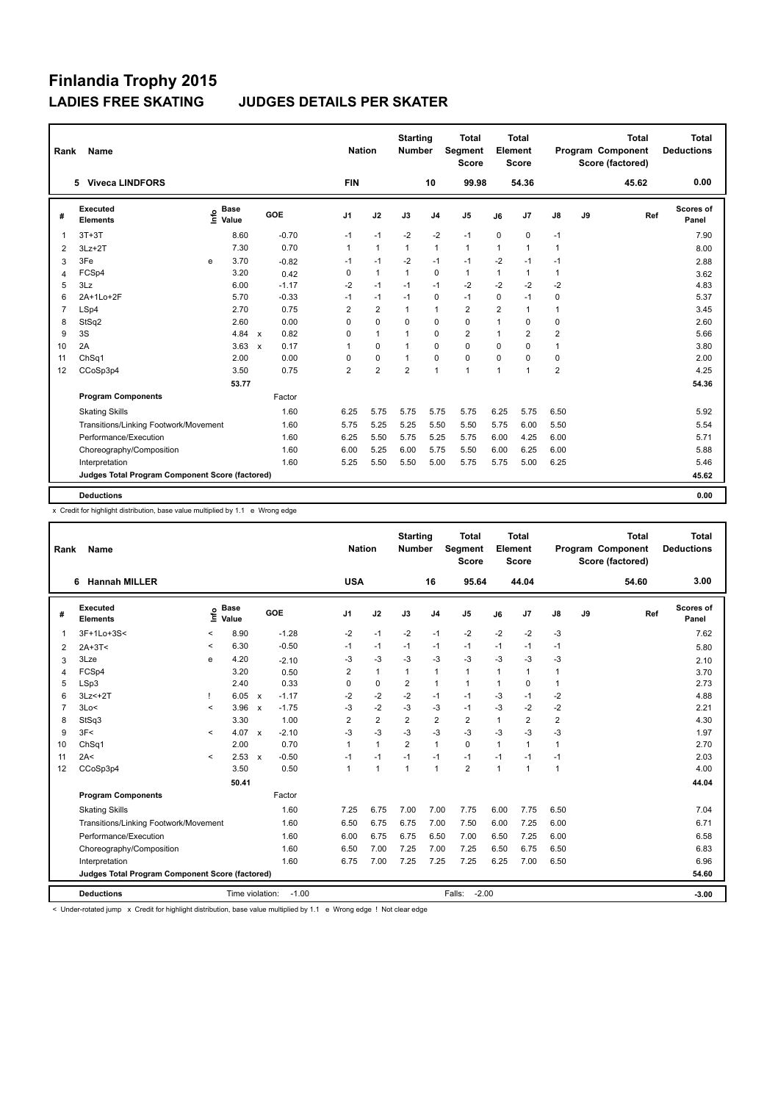| Rank           | Name                                            |      |                      |              |         | <b>Nation</b>  |                | <b>Starting</b><br><b>Number</b> |                | <b>Total</b><br>Segment<br><b>Score</b> |                | <b>Total</b><br>Element<br><b>Score</b> |                |    | <b>Total</b><br>Program Component<br>Score (factored) | Total<br><b>Deductions</b> |
|----------------|-------------------------------------------------|------|----------------------|--------------|---------|----------------|----------------|----------------------------------|----------------|-----------------------------------------|----------------|-----------------------------------------|----------------|----|-------------------------------------------------------|----------------------------|
|                | <b>Viveca LINDFORS</b><br>5                     |      |                      |              |         | <b>FIN</b>     |                |                                  | 10             | 99.98                                   |                | 54.36                                   |                |    | 45.62                                                 | 0.00                       |
| #              | Executed<br><b>Elements</b>                     | lnfo | <b>Base</b><br>Value |              | GOE     | J <sub>1</sub> | J2             | J3                               | J <sub>4</sub> | J <sub>5</sub>                          | J6             | J7                                      | J8             | J9 | Ref                                                   | Scores of<br>Panel         |
|                | $3T+3T$                                         |      | 8.60                 |              | $-0.70$ | $-1$           | $-1$           | $-2$                             | $-2$           | $-1$                                    | $\Omega$       | 0                                       | $-1$           |    |                                                       | 7.90                       |
| 2              | $3Lz + 2T$                                      |      | 7.30                 |              | 0.70    | $\mathbf{1}$   | $\mathbf{1}$   | $\mathbf{1}$                     | $\mathbf{1}$   | 1                                       | $\mathbf{1}$   | $\blacktriangleleft$                    | $\mathbf{1}$   |    |                                                       | 8.00                       |
| 3              | 3Fe                                             | e    | 3.70                 |              | $-0.82$ | -1             | $-1$           | $-2$                             | $-1$           | $-1$                                    | $-2$           | $-1$                                    | $-1$           |    |                                                       | 2.88                       |
| $\overline{4}$ | FCSp4                                           |      | 3.20                 |              | 0.42    | 0              | $\mathbf{1}$   | $\mathbf{1}$                     | 0              | $\mathbf{1}$                            | $\mathbf{1}$   | $\mathbf{1}$                            | $\mathbf{1}$   |    |                                                       | 3.62                       |
| 5              | 3Lz                                             |      | 6.00                 |              | $-1.17$ | $-2$           | $-1$           | $-1$                             | $-1$           | $-2$                                    | $-2$           | $-2$                                    | $-2$           |    |                                                       | 4.83                       |
| 6              | 2A+1Lo+2F                                       |      | 5.70                 |              | $-0.33$ | $-1$           | $-1$           | $-1$                             | 0              | $-1$                                    | $\Omega$       | $-1$                                    | $\mathbf 0$    |    |                                                       | 5.37                       |
| 7              | LSp4                                            |      | 2.70                 |              | 0.75    | $\overline{2}$ | $\overline{2}$ | $\mathbf{1}$                     | $\mathbf{1}$   | $\overline{2}$                          | $\overline{2}$ | $\blacktriangleleft$                    | $\mathbf{1}$   |    |                                                       | 3.45                       |
| 8              | StSq2                                           |      | 2.60                 |              | 0.00    | $\Omega$       | $\mathbf 0$    | $\Omega$                         | $\Omega$       | 0                                       | $\overline{1}$ | 0                                       | 0              |    |                                                       | 2.60                       |
| 9              | 3S                                              |      | 4.84                 | $\mathsf{x}$ | 0.82    | 0              | $\mathbf{1}$   | $\mathbf{1}$                     | $\Omega$       | 2                                       | $\mathbf 1$    | $\overline{2}$                          | 2              |    |                                                       | 5.66                       |
| 10             | 2A                                              |      | 3.63                 | $\mathbf{x}$ | 0.17    | $\mathbf{1}$   | $\mathbf 0$    | $\mathbf{1}$                     | $\Omega$       | 0                                       | $\Omega$       | 0                                       | $\mathbf{1}$   |    |                                                       | 3.80                       |
| 11             | ChSq1                                           |      | 2.00                 |              | 0.00    | $\Omega$       | 0              | $\overline{1}$                   | $\Omega$       | 0                                       | $\Omega$       | $\Omega$                                | $\pmb{0}$      |    |                                                       | 2.00                       |
| 12             | CCoSp3p4                                        |      | 3.50                 |              | 0.75    | $\overline{2}$ | $\overline{2}$ | $\overline{2}$                   | $\mathbf{1}$   | $\mathbf{1}$                            | $\overline{1}$ | $\overline{1}$                          | $\overline{2}$ |    |                                                       | 4.25                       |
|                |                                                 |      | 53.77                |              |         |                |                |                                  |                |                                         |                |                                         |                |    |                                                       | 54.36                      |
|                | <b>Program Components</b>                       |      |                      |              | Factor  |                |                |                                  |                |                                         |                |                                         |                |    |                                                       |                            |
|                | <b>Skating Skills</b>                           |      |                      |              | 1.60    | 6.25           | 5.75           | 5.75                             | 5.75           | 5.75                                    | 6.25           | 5.75                                    | 6.50           |    |                                                       | 5.92                       |
|                | Transitions/Linking Footwork/Movement           |      |                      |              | 1.60    | 5.75           | 5.25           | 5.25                             | 5.50           | 5.50                                    | 5.75           | 6.00                                    | 5.50           |    |                                                       | 5.54                       |
|                | Performance/Execution                           |      |                      |              | 1.60    | 6.25           | 5.50           | 5.75                             | 5.25           | 5.75                                    | 6.00           | 4.25                                    | 6.00           |    |                                                       | 5.71                       |
|                | Choreography/Composition                        |      |                      |              | 1.60    | 6.00           | 5.25           | 6.00                             | 5.75           | 5.50                                    | 6.00           | 6.25                                    | 6.00           |    |                                                       | 5.88                       |
|                | Interpretation                                  |      |                      |              | 1.60    | 5.25           | 5.50           | 5.50                             | 5.00           | 5.75                                    | 5.75           | 5.00                                    | 6.25           |    |                                                       | 5.46                       |
|                | Judges Total Program Component Score (factored) |      |                      |              |         |                |                |                                  |                |                                         |                |                                         |                |    |                                                       | 45.62                      |
|                | <b>Deductions</b>                               |      |                      |              |         |                |                |                                  |                |                                         |                |                                         |                |    |                                                       | 0.00                       |

x Credit for highlight distribution, base value multiplied by 1.1 e Wrong edge

| Rank           | <b>Name</b>                                     |              |                      |                           |         | <b>Nation</b>        |                | <b>Starting</b><br><b>Number</b> |                | <b>Total</b><br>Segment<br><b>Score</b> |              | <b>Total</b><br>Element<br><b>Score</b> |                         |    | <b>Total</b><br>Program Component<br>Score (factored) | <b>Total</b><br><b>Deductions</b> |
|----------------|-------------------------------------------------|--------------|----------------------|---------------------------|---------|----------------------|----------------|----------------------------------|----------------|-----------------------------------------|--------------|-----------------------------------------|-------------------------|----|-------------------------------------------------------|-----------------------------------|
|                | <b>Hannah MILLER</b><br>6                       |              |                      |                           |         | <b>USA</b>           |                |                                  | 16             | 95.64                                   |              | 44.04                                   |                         |    | 54.60                                                 | 3.00                              |
| #              | Executed<br><b>Elements</b>                     | ۴ů           | <b>Base</b><br>Value |                           | GOE     | J <sub>1</sub>       | J2             | J3                               | J <sub>4</sub> | J <sub>5</sub>                          | J6           | J7                                      | J8                      | J9 | Ref                                                   | Scores of<br>Panel                |
| 1              | 3F+1Lo+3S<                                      | $\,<\,$      | 8.90                 |                           | $-1.28$ | $-2$                 | $-1$           | $-2$                             | $-1$           | $-2$                                    | $-2$         | $-2$                                    | $-3$                    |    |                                                       | 7.62                              |
| 2              | $2A+3T<$                                        | $\,<\,$      | 6.30                 |                           | $-0.50$ | $-1$                 | $-1$           | $-1$                             | $-1$           | $-1$                                    | $-1$         | $-1$                                    | $-1$                    |    |                                                       | 5.80                              |
| 3              | 3Lze                                            | e            | 4.20                 |                           | $-2.10$ | -3                   | $-3$           | $-3$                             | $-3$           | $-3$                                    | $-3$         | $-3$                                    | $-3$                    |    |                                                       | 2.10                              |
| 4              | FCSp4                                           |              | 3.20                 |                           | 0.50    | 2                    | $\mathbf{1}$   | $\mathbf{1}$                     | $\mathbf{1}$   | $\mathbf{1}$                            | 1            | 1                                       | $\mathbf{1}$            |    |                                                       | 3.70                              |
| 5              | LSp3                                            |              | 2.40                 |                           | 0.33    | 0                    | $\mathbf 0$    | $\overline{2}$                   | $\mathbf{1}$   | 1                                       | 1            | 0                                       | 1                       |    |                                                       | 2.73                              |
| 6              | $3Lz<+2T$                                       |              | 6.05                 | $\mathsf{x}$              | $-1.17$ | $-2$                 | $-2$           | $-2$                             | $-1$           | $-1$                                    | $-3$         | $-1$                                    | $-2$                    |    |                                                       | 4.88                              |
| $\overline{7}$ | 3Lo<                                            | $\prec$      | 3.96                 | $\boldsymbol{\mathsf{x}}$ | $-1.75$ | $-3$                 | $-2$           | $-3$                             | -3             | $-1$                                    | $-3$         | $-2$                                    | $-2$                    |    |                                                       | 2.21                              |
| 8              | StSq3                                           |              | 3.30                 |                           | 1.00    | 2                    | $\overline{2}$ | $\overline{2}$                   | $\overline{2}$ | $\overline{2}$                          | $\mathbf{1}$ | 2                                       | $\overline{\mathbf{c}}$ |    |                                                       | 4.30                              |
| 9              | 3F<                                             | $\checkmark$ | 4.07                 | $\mathsf{x}$              | $-2.10$ | $-3$                 | $-3$           | -3                               | $-3$           | $-3$                                    | $-3$         | $-3$                                    | -3                      |    |                                                       | 1.97                              |
| 10             | ChSq1                                           |              | 2.00                 |                           | 0.70    | 1                    | $\mathbf{1}$   | $\overline{2}$                   | $\mathbf{1}$   | $\Omega$                                | $\mathbf{1}$ | 1                                       | $\mathbf{1}$            |    |                                                       | 2.70                              |
| 11             | 2A<                                             | $\prec$      | 2.53                 | $\mathbf{x}$              | $-0.50$ | $-1$                 | $-1$           | $-1$                             | $-1$           | $-1$                                    | $-1$         | $-1$                                    | $-1$                    |    |                                                       | 2.03                              |
| 12             | CCoSp3p4                                        |              | 3.50                 |                           | 0.50    | $\blacktriangleleft$ | 1              | 1                                | $\overline{1}$ | $\overline{2}$                          | $\mathbf{1}$ | -1                                      | 1                       |    |                                                       | 4.00                              |
|                |                                                 |              | 50.41                |                           |         |                      |                |                                  |                |                                         |              |                                         |                         |    |                                                       | 44.04                             |
|                | <b>Program Components</b>                       |              |                      |                           | Factor  |                      |                |                                  |                |                                         |              |                                         |                         |    |                                                       |                                   |
|                | <b>Skating Skills</b>                           |              |                      |                           | 1.60    | 7.25                 | 6.75           | 7.00                             | 7.00           | 7.75                                    | 6.00         | 7.75                                    | 6.50                    |    |                                                       | 7.04                              |
|                | Transitions/Linking Footwork/Movement           |              |                      |                           | 1.60    | 6.50                 | 6.75           | 6.75                             | 7.00           | 7.50                                    | 6.00         | 7.25                                    | 6.00                    |    |                                                       | 6.71                              |
|                | Performance/Execution                           |              |                      |                           | 1.60    | 6.00                 | 6.75           | 6.75                             | 6.50           | 7.00                                    | 6.50         | 7.25                                    | 6.00                    |    |                                                       | 6.58                              |
|                | Choreography/Composition                        |              |                      |                           | 1.60    | 6.50                 | 7.00           | 7.25                             | 7.00           | 7.25                                    | 6.50         | 6.75                                    | 6.50                    |    |                                                       | 6.83                              |
|                | Interpretation                                  |              |                      |                           | 1.60    | 6.75                 | 7.00           | 7.25                             | 7.25           | 7.25                                    | 6.25         | 7.00                                    | 6.50                    |    |                                                       | 6.96                              |
|                | Judges Total Program Component Score (factored) |              |                      |                           |         |                      |                |                                  |                |                                         |              |                                         |                         |    |                                                       | 54.60                             |
|                | <b>Deductions</b>                               |              | Time violation:      |                           | $-1.00$ |                      |                |                                  |                | $-2.00$<br>Falls:                       |              |                                         |                         |    |                                                       | $-3.00$                           |

< Under-rotated jump x Credit for highlight distribution, base value multiplied by 1.1 e Wrong edge ! Not clear edge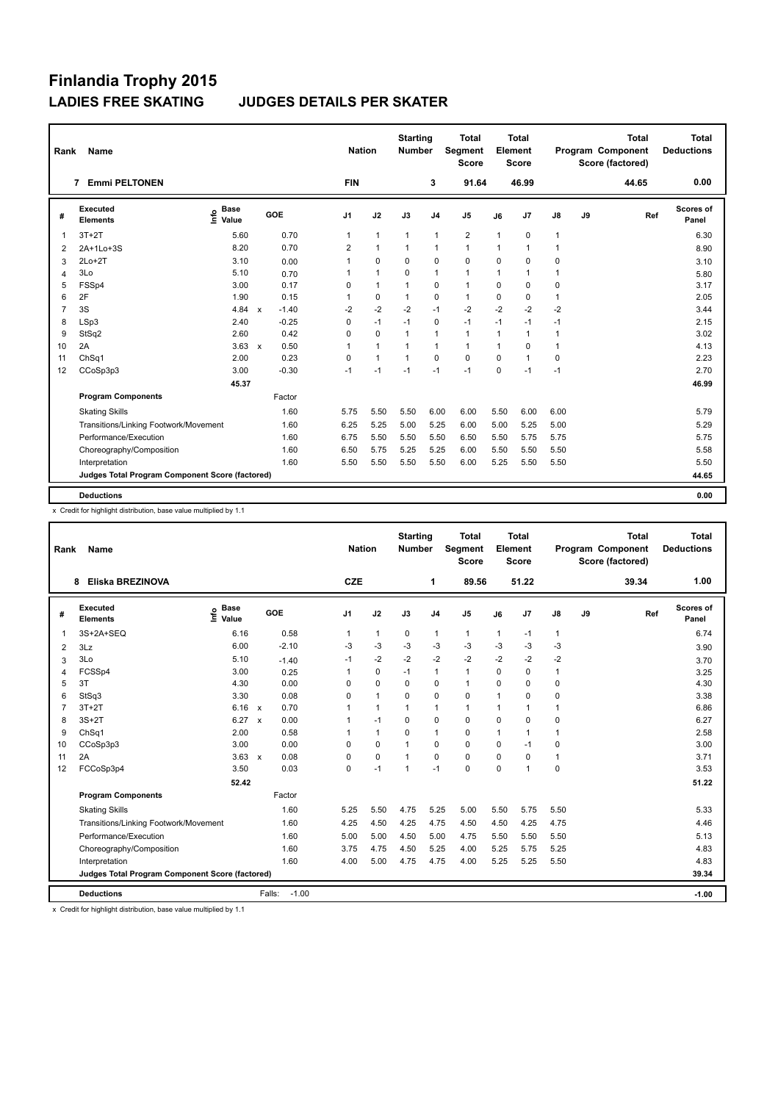| Rank           | Name                                            |                                  |                                      |                     | <b>Nation</b>  |              | <b>Starting</b><br><b>Number</b> |                | <b>Total</b><br>Segment<br><b>Score</b> |              | <b>Total</b><br>Element<br><b>Score</b> |               |    | Total<br>Program Component<br>Score (factored) | Total<br><b>Deductions</b> |
|----------------|-------------------------------------------------|----------------------------------|--------------------------------------|---------------------|----------------|--------------|----------------------------------|----------------|-----------------------------------------|--------------|-----------------------------------------|---------------|----|------------------------------------------------|----------------------------|
|                | <b>Emmi PELTONEN</b><br>7                       |                                  |                                      |                     | <b>FIN</b>     |              |                                  | 3              | 91.64                                   |              | 46.99                                   |               |    | 44.65                                          | 0.00                       |
| #              | <b>Executed</b><br><b>Elements</b>              | <b>Base</b><br>e Base<br>E Value | GOE                                  | J <sub>1</sub>      |                | J2           | J3                               | J <sub>4</sub> | J <sub>5</sub>                          | J6           | J7                                      | $\mathsf{J}8$ | J9 | Ref                                            | <b>Scores of</b><br>Panel  |
| $\overline{1}$ | $3T+2T$                                         | 5.60                             |                                      | 0.70                | 1              | $\mathbf{1}$ | $\mathbf{1}$                     | $\mathbf{1}$   | 2                                       | $\mathbf{1}$ | $\mathbf 0$                             | 1             |    |                                                | 6.30                       |
| $\overline{2}$ | 2A+1Lo+3S                                       | 8.20                             |                                      | 0.70                | $\overline{2}$ | $\mathbf{1}$ | $\mathbf{1}$                     | 1              | $\mathbf{1}$                            | 1            | $\mathbf{1}$                            | 1             |    |                                                | 8.90                       |
| 3              | $2Lo+2T$                                        | 3.10                             |                                      | 0.00<br>1           |                | $\Omega$     | 0                                | 0              | 0                                       | $\Omega$     | $\mathbf 0$                             | 0             |    |                                                | 3.10                       |
| $\overline{4}$ | 3Lo                                             | 5.10                             |                                      | 0.70<br>1           |                | 1            | 0                                | 1              | $\mathbf{1}$                            | 1            | $\mathbf{1}$                            | 1             |    |                                                | 5.80                       |
| 5              | FSSp4                                           | 3.00                             |                                      | 0.17<br>$\mathbf 0$ |                | $\mathbf{1}$ | 1                                | 0              | $\mathbf{1}$                            | $\mathbf 0$  | $\mathbf 0$                             | 0             |    |                                                | 3.17                       |
| 6              | 2F                                              | 1.90                             |                                      | 0.15                | 1              | $\Omega$     | $\mathbf{1}$                     | 0              | $\mathbf{1}$                            | $\Omega$     | $\Omega$                                | $\mathbf{1}$  |    |                                                | 2.05                       |
| $\overline{7}$ | 3S                                              | 4.84                             | $-1.40$<br>$\boldsymbol{\mathsf{x}}$ |                     | $-2$           | $-2$         | $-2$                             | $-1$           | $-2$                                    | $-2$         | $-2$                                    | $-2$          |    |                                                | 3.44                       |
| 8              | LSp3                                            | 2.40                             | $-0.25$                              |                     | 0              | $-1$         | $-1$                             | 0              | $-1$                                    | $-1$         | $-1$                                    | $-1$          |    |                                                | 2.15                       |
| 9              | StSq2                                           | 2.60                             |                                      | 0.42<br>$\Omega$    |                | $\mathbf 0$  | 1                                | 1              | $\mathbf{1}$                            | 1            | $\overline{1}$                          | $\mathbf{1}$  |    |                                                | 3.02                       |
| 10             | 2A                                              | 3.63                             | $\boldsymbol{\mathsf{x}}$            | 0.50<br>1           |                | $\mathbf{1}$ | 1                                | 1              | $\overline{1}$                          | 1            | $\mathbf 0$                             | $\mathbf{1}$  |    |                                                | 4.13                       |
| 11             | ChSq1                                           | 2.00                             |                                      | 0.23<br>$\Omega$    |                | $\mathbf{1}$ | $\overline{1}$                   | 0              | $\mathbf 0$                             | $\Omega$     | 1                                       | $\mathbf 0$   |    |                                                | 2.23                       |
| 12             | CCoSp3p3                                        | 3.00                             | $-0.30$                              | $-1$                |                | $-1$         | $-1$                             | $-1$           | $-1$                                    | $\Omega$     | $-1$                                    | $-1$          |    |                                                | 2.70                       |
|                |                                                 | 45.37                            |                                      |                     |                |              |                                  |                |                                         |              |                                         |               |    |                                                | 46.99                      |
|                | <b>Program Components</b>                       |                                  | Factor                               |                     |                |              |                                  |                |                                         |              |                                         |               |    |                                                |                            |
|                | <b>Skating Skills</b>                           |                                  |                                      | 1.60                | 5.75           | 5.50         | 5.50                             | 6.00           | 6.00                                    | 5.50         | 6.00                                    | 6.00          |    |                                                | 5.79                       |
|                | Transitions/Linking Footwork/Movement           |                                  |                                      | 1.60                | 6.25           | 5.25         | 5.00                             | 5.25           | 6.00                                    | 5.00         | 5.25                                    | 5.00          |    |                                                | 5.29                       |
|                | Performance/Execution                           |                                  |                                      | 1.60                | 6.75           | 5.50         | 5.50                             | 5.50           | 6.50                                    | 5.50         | 5.75                                    | 5.75          |    |                                                | 5.75                       |
|                | Choreography/Composition                        |                                  |                                      | 1.60                | 6.50           | 5.75         | 5.25                             | 5.25           | 6.00                                    | 5.50         | 5.50                                    | 5.50          |    |                                                | 5.58                       |
|                | Interpretation                                  |                                  |                                      | 1.60                | 5.50           | 5.50         | 5.50                             | 5.50           | 6.00                                    | 5.25         | 5.50                                    | 5.50          |    |                                                | 5.50                       |
|                | Judges Total Program Component Score (factored) |                                  |                                      |                     |                |              |                                  |                |                                         |              |                                         |               |    |                                                | 44.65                      |
|                | <b>Deductions</b>                               |                                  |                                      |                     |                |              |                                  |                |                                         |              |                                         |               |    |                                                | 0.00                       |

x Credit for highlight distribution, base value multiplied by 1.1

| Rank           | <b>Name</b>                                     |                                  |                      | <b>Nation</b>        |              | <b>Starting</b><br><b>Number</b> |                | <b>Total</b><br><b>Segment</b><br><b>Score</b> |      | <b>Total</b><br>Element<br><b>Score</b> |              |    | <b>Total</b><br>Program Component<br>Score (factored) | <b>Total</b><br><b>Deductions</b> |
|----------------|-------------------------------------------------|----------------------------------|----------------------|----------------------|--------------|----------------------------------|----------------|------------------------------------------------|------|-----------------------------------------|--------------|----|-------------------------------------------------------|-----------------------------------|
|                | Eliska BREZINOVA<br>8                           |                                  |                      | <b>CZE</b>           |              |                                  | 1              | 89.56                                          |      | 51.22                                   |              |    | 39.34                                                 | 1.00                              |
| #              | Executed<br><b>Elements</b>                     | <b>Base</b><br>e Base<br>E Value | GOE                  | J1                   | J2           | J3                               | J <sub>4</sub> | J5                                             | J6   | J7                                      | J8           | J9 | Ref                                                   | Scores of<br>Panel                |
| 1              | 3S+2A+SEQ                                       | 6.16                             | 0.58                 | $\blacktriangleleft$ | $\mathbf{1}$ | $\mathbf 0$                      | 1              | $\mathbf{1}$                                   | 1    | $-1$                                    | $\mathbf{1}$ |    |                                                       | 6.74                              |
| 2              | 3Lz                                             | 6.00                             | $-2.10$              | $-3$                 | $-3$         | $-3$                             | $-3$           | $-3$                                           | $-3$ | $-3$                                    | $-3$         |    |                                                       | 3.90                              |
| 3              | 3Lo                                             | 5.10                             | $-1.40$              | $-1$                 | $-2$         | $-2$                             | $-2$           | $-2$                                           | $-2$ | $-2$                                    | $-2$         |    |                                                       | 3.70                              |
| 4              | FCSSp4                                          | 3.00                             | 0.25                 |                      | $\Omega$     | $-1$                             | $\mathbf{1}$   | $\mathbf{1}$                                   | 0    | 0                                       | $\mathbf{1}$ |    |                                                       | 3.25                              |
| 5              | 3T                                              | 4.30                             | 0.00                 | 0                    | $\mathbf 0$  | 0                                | 0              | $\mathbf{1}$                                   | 0    | 0                                       | 0            |    |                                                       | 4.30                              |
| 6              | StSq3                                           | 3.30                             | 0.08                 | 0                    | 1            | 0                                | $\mathbf 0$    | $\mathbf 0$                                    | 1    | 0                                       | 0            |    |                                                       | 3.38                              |
| $\overline{7}$ | $3T+2T$                                         | $6.16 \times$                    | 0.70                 |                      | 1            | $\mathbf{1}$                     | $\mathbf{1}$   | 1                                              | 1    | 1                                       | 1            |    |                                                       | 6.86                              |
| 8              | $3S+2T$                                         | 6.27                             | 0.00<br>$\mathsf{x}$ |                      | $-1$         | $\Omega$                         | $\mathbf 0$    | $\mathbf 0$                                    | 0    | 0                                       | 0            |    |                                                       | 6.27                              |
| 9              | ChSq1                                           | 2.00                             | 0.58                 |                      | $\mathbf{1}$ | 0                                | $\mathbf{1}$   | $\Omega$                                       | 1    | $\blacktriangleleft$                    | $\mathbf{1}$ |    |                                                       | 2.58                              |
| 10             | CCoSp3p3                                        | 3.00                             | 0.00                 | 0                    | $\Omega$     | $\mathbf{1}$                     | $\Omega$       | $\Omega$                                       | 0    | $-1$                                    | 0            |    |                                                       | 3.00                              |
| 11             | 2A                                              | $3.63 \times$                    | 0.08                 | $\Omega$             | $\Omega$     | $\mathbf{1}$                     | $\mathbf 0$    | $\mathbf 0$                                    | 0    | $\Omega$                                | 1            |    |                                                       | 3.71                              |
| 12             | FCCoSp3p4                                       | 3.50                             | 0.03                 | $\Omega$             | $-1$         | $\mathbf{1}$                     | $-1$           | $\Omega$                                       | 0    | 1                                       | 0            |    |                                                       | 3.53                              |
|                |                                                 | 52.42                            |                      |                      |              |                                  |                |                                                |      |                                         |              |    |                                                       | 51.22                             |
|                | <b>Program Components</b>                       |                                  | Factor               |                      |              |                                  |                |                                                |      |                                         |              |    |                                                       |                                   |
|                | <b>Skating Skills</b>                           |                                  | 1.60                 | 5.25                 | 5.50         | 4.75                             | 5.25           | 5.00                                           | 5.50 | 5.75                                    | 5.50         |    |                                                       | 5.33                              |
|                | Transitions/Linking Footwork/Movement           |                                  | 1.60                 | 4.25                 | 4.50         | 4.25                             | 4.75           | 4.50                                           | 4.50 | 4.25                                    | 4.75         |    |                                                       | 4.46                              |
|                | Performance/Execution                           |                                  | 1.60                 | 5.00                 | 5.00         | 4.50                             | 5.00           | 4.75                                           | 5.50 | 5.50                                    | 5.50         |    |                                                       | 5.13                              |
|                | Choreography/Composition                        |                                  | 1.60                 | 3.75                 | 4.75         | 4.50                             | 5.25           | 4.00                                           | 5.25 | 5.75                                    | 5.25         |    |                                                       | 4.83                              |
|                | Interpretation                                  |                                  | 1.60                 | 4.00                 | 5.00         | 4.75                             | 4.75           | 4.00                                           | 5.25 | 5.25                                    | 5.50         |    |                                                       | 4.83                              |
|                | Judges Total Program Component Score (factored) |                                  |                      |                      |              |                                  |                |                                                |      |                                         |              |    |                                                       | 39.34                             |
|                | <b>Deductions</b>                               |                                  | Falls:<br>$-1.00$    |                      |              |                                  |                |                                                |      |                                         |              |    |                                                       | $-1.00$                           |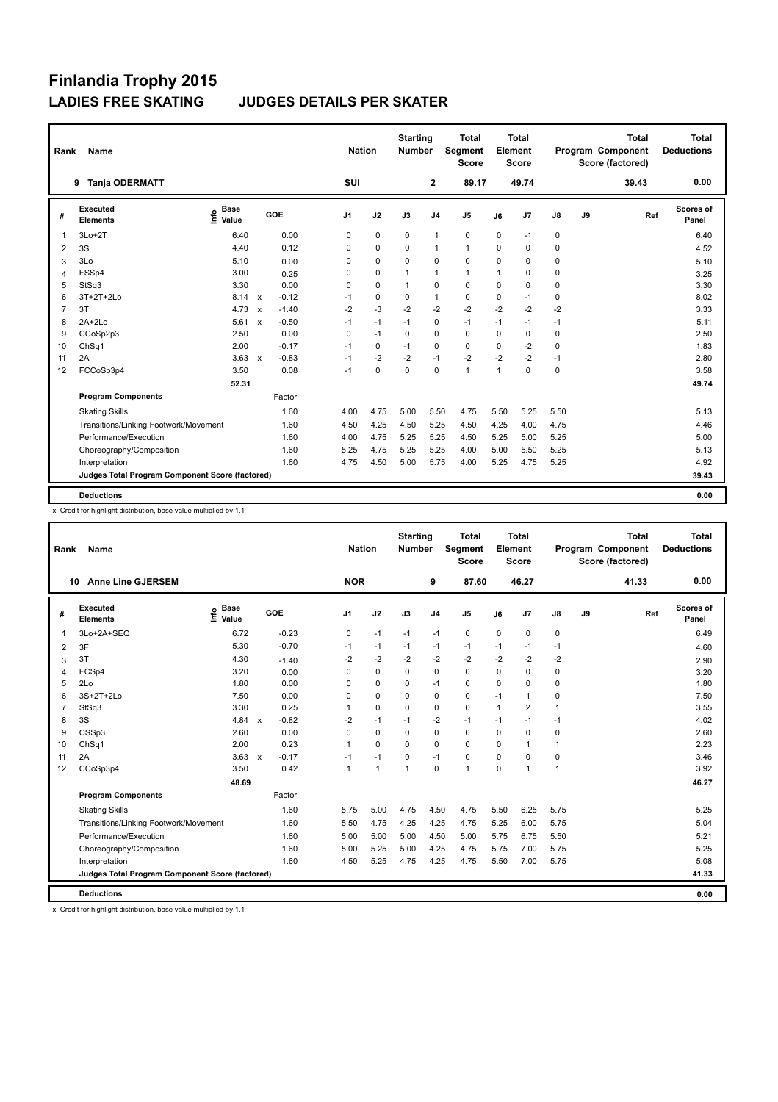| Rank           | <b>Name</b>                                     |                                  |                         | <b>Nation</b>  |          | <b>Starting</b><br><b>Number</b> |                | <b>Total</b><br>Segment<br><b>Score</b> |              | Total<br>Element<br><b>Score</b> |               |    | <b>Total</b><br>Program Component<br>Score (factored) | Total<br><b>Deductions</b> |
|----------------|-------------------------------------------------|----------------------------------|-------------------------|----------------|----------|----------------------------------|----------------|-----------------------------------------|--------------|----------------------------------|---------------|----|-------------------------------------------------------|----------------------------|
|                | <b>Tanja ODERMATT</b><br>9                      |                                  |                         | SUI            |          |                                  | $\overline{2}$ | 89.17                                   |              | 49.74                            |               |    | 39.43                                                 | 0.00                       |
| #              | Executed<br><b>Elements</b>                     | <b>Base</b><br>e Base<br>⊆ Value | GOE                     | J <sub>1</sub> | J2       | J3                               | J <sub>4</sub> | J <sub>5</sub>                          | J6           | J7                               | $\mathsf{J}8$ | J9 | Ref                                                   | <b>Scores of</b><br>Panel  |
| $\mathbf{1}$   | $3Lo+2T$                                        | 6.40                             | 0.00                    | 0              | 0        | 0                                | 1              | 0                                       | 0            | $-1$                             | 0             |    |                                                       | 6.40                       |
| 2              | 3S                                              | 4.40                             | 0.12                    | 0              | 0        | 0                                | 1              | 1                                       | $\Omega$     | $\mathbf 0$                      | 0             |    |                                                       | 4.52                       |
| 3              | 3Lo                                             | 5.10                             | 0.00                    | $\Omega$       | $\Omega$ | $\Omega$                         | 0              | $\mathbf 0$                             | $\Omega$     | $\mathbf 0$                      | 0             |    |                                                       | 5.10                       |
| $\overline{4}$ | FSSp4                                           | 3.00                             | 0.25                    | 0              | 0        | 1                                | 1              | $\mathbf{1}$                            | 1            | $\mathbf 0$                      | 0             |    |                                                       | 3.25                       |
| 5              | StSq3                                           | 3.30                             | 0.00                    | 0              | 0        | 1                                | 0              | $\mathbf 0$                             | 0            | $\mathbf 0$                      | 0             |    |                                                       | 3.30                       |
| 6              | 3T+2T+2Lo                                       | 8.14 x                           | $-0.12$                 | $-1$           | 0        | 0                                | 1              | $\mathbf 0$                             | $\Omega$     | $-1$                             | 0             |    |                                                       | 8.02                       |
| $\overline{7}$ | 3T                                              | $4.73 \times$                    | $-1.40$                 | $-2$           | $-3$     | $-2$                             | $-2$           | $-2$                                    | $-2$         | $-2$                             | $-2$          |    |                                                       | 3.33                       |
| 8              | $2A+2Lo$                                        | 5.61                             | $-0.50$<br>$\mathsf{x}$ | $-1$           | $-1$     | $-1$                             | 0              | $-1$                                    | $-1$         | $-1$                             | $-1$          |    |                                                       | 5.11                       |
| 9              | CCoSp2p3                                        | 2.50                             | 0.00                    | 0              | $-1$     | 0                                | $\Omega$       | $\Omega$                                | $\Omega$     | $\Omega$                         | 0             |    |                                                       | 2.50                       |
| 10             | ChSq1                                           | 2.00                             | $-0.17$                 | $-1$           | $\Omega$ | $-1$                             | $\Omega$       | $\Omega$                                | $\Omega$     | $-2$                             | $\mathbf 0$   |    |                                                       | 1.83                       |
| 11             | 2A                                              | 3.63                             | $-0.83$<br>$\mathsf{x}$ | $-1$           | $-2$     | $-2$                             | $-1$           | $-2$                                    | $-2$         | $-2$                             | $-1$          |    |                                                       | 2.80                       |
| 12             | FCCoSp3p4                                       | 3.50                             | 0.08                    | $-1$           | $\Omega$ | $\Omega$                         | $\Omega$       | $\mathbf{1}$                            | $\mathbf{1}$ | $\Omega$                         | $\Omega$      |    |                                                       | 3.58                       |
|                |                                                 | 52.31                            |                         |                |          |                                  |                |                                         |              |                                  |               |    |                                                       | 49.74                      |
|                | <b>Program Components</b>                       |                                  | Factor                  |                |          |                                  |                |                                         |              |                                  |               |    |                                                       |                            |
|                | <b>Skating Skills</b>                           |                                  | 1.60                    | 4.00           | 4.75     | 5.00                             | 5.50           | 4.75                                    | 5.50         | 5.25                             | 5.50          |    |                                                       | 5.13                       |
|                | Transitions/Linking Footwork/Movement           |                                  | 1.60                    | 4.50           | 4.25     | 4.50                             | 5.25           | 4.50                                    | 4.25         | 4.00                             | 4.75          |    |                                                       | 4.46                       |
|                | Performance/Execution                           |                                  | 1.60                    | 4.00           | 4.75     | 5.25                             | 5.25           | 4.50                                    | 5.25         | 5.00                             | 5.25          |    |                                                       | 5.00                       |
|                | Choreography/Composition                        |                                  | 1.60                    | 5.25           | 4.75     | 5.25                             | 5.25           | 4.00                                    | 5.00         | 5.50                             | 5.25          |    |                                                       | 5.13                       |
|                | Interpretation                                  |                                  | 1.60                    | 4.75           | 4.50     | 5.00                             | 5.75           | 4.00                                    | 5.25         | 4.75                             | 5.25          |    |                                                       | 4.92                       |
|                | Judges Total Program Component Score (factored) |                                  |                         |                |          |                                  |                |                                         |              |                                  |               |    |                                                       | 39.43                      |
|                | <b>Deductions</b>                               |                                  |                         |                |          |                                  |                |                                         |              |                                  |               |    |                                                       | 0.00                       |

x Credit for highlight distribution, base value multiplied by 1.1

| Rank | <b>Name</b>                                     |                                  |                         | <b>Nation</b>  |             | <b>Starting</b><br><b>Number</b> |                | <b>Total</b><br>Segment<br><b>Score</b> |              | <b>Total</b><br>Element<br><b>Score</b> |              |    | <b>Total</b><br>Program Component<br>Score (factored) | <b>Total</b><br><b>Deductions</b> |
|------|-------------------------------------------------|----------------------------------|-------------------------|----------------|-------------|----------------------------------|----------------|-----------------------------------------|--------------|-----------------------------------------|--------------|----|-------------------------------------------------------|-----------------------------------|
|      | <b>Anne Line GJERSEM</b><br>10                  |                                  |                         | <b>NOR</b>     |             |                                  | 9              | 87.60                                   |              | 46.27                                   |              |    | 41.33                                                 | 0.00                              |
| #    | Executed<br><b>Elements</b>                     | <b>Base</b><br>e Base<br>E Value | GOE                     | J <sub>1</sub> | J2          | J3                               | J <sub>4</sub> | J <sub>5</sub>                          | J6           | J7                                      | J8           | J9 | Ref                                                   | Scores of<br>Panel                |
| 1    | 3Lo+2A+SEQ                                      | 6.72                             | $-0.23$                 | 0              | $-1$        | $-1$                             | $-1$           | 0                                       | 0            | 0                                       | 0            |    |                                                       | 6.49                              |
| 2    | 3F                                              | 5.30                             | $-0.70$                 | $-1$           | $-1$        | $-1$                             | $-1$           | $-1$                                    | $-1$         | $-1$                                    | $-1$         |    |                                                       | 4.60                              |
| 3    | 3T                                              | 4.30                             | $-1.40$                 | $-2$           | $-2$        | $-2$                             | $-2$           | $-2$                                    | $-2$         | $-2$                                    | $-2$         |    |                                                       | 2.90                              |
| 4    | FCSp4                                           | 3.20                             | 0.00                    | 0              | $\mathbf 0$ | $\Omega$                         | $\mathbf 0$    | $\mathbf 0$                             | $\Omega$     | $\Omega$                                | $\mathbf 0$  |    |                                                       | 3.20                              |
| 5    | 2Lo                                             | 1.80                             | 0.00                    | 0              | 0           | 0                                | $-1$           | 0                                       | 0            | $\mathbf 0$                             | 0            |    |                                                       | 1.80                              |
| 6    | 3S+2T+2Lo                                       | 7.50                             | 0.00                    | 0              | 0           | 0                                | $\mathbf 0$    | 0                                       | $-1$         | 1                                       | 0            |    |                                                       | 7.50                              |
| 7    | StSq3                                           | 3.30                             | 0.25                    |                | $\mathbf 0$ | $\Omega$                         | $\mathbf 0$    | 0                                       | $\mathbf{1}$ | $\overline{2}$                          | $\mathbf{1}$ |    |                                                       | 3.55                              |
| 8    | 3S                                              | 4.84                             | $-0.82$<br>$\mathbf{x}$ | $-2$           | $-1$        | $-1$                             | $-2$           | $-1$                                    | $-1$         | $-1$                                    | $-1$         |    |                                                       | 4.02                              |
| 9    | CSSp3                                           | 2.60                             | 0.00                    | $\Omega$       | $\Omega$    | $\Omega$                         | 0              | $\mathbf 0$                             | $\Omega$     | $\Omega$                                | 0            |    |                                                       | 2.60                              |
| 10   | ChSq1                                           | 2.00                             | 0.23                    | 1              | $\mathbf 0$ | $\Omega$                         | 0              | 0                                       | $\Omega$     | 1                                       | 1            |    |                                                       | 2.23                              |
| 11   | 2A                                              | 3.63                             | $-0.17$<br>$\mathsf{x}$ | $-1$           | $-1$        | 0                                | $-1$           | $\mathbf 0$                             | $\Omega$     | $\mathbf 0$                             | 0            |    |                                                       | 3.46                              |
| 12   | CCoSp3p4                                        | 3.50                             | 0.42                    | $\overline{1}$ | 1           | 1                                | $\mathbf 0$    | $\mathbf{1}$                            | $\Omega$     | 1                                       | 1            |    |                                                       | 3.92                              |
|      |                                                 | 48.69                            |                         |                |             |                                  |                |                                         |              |                                         |              |    |                                                       | 46.27                             |
|      | <b>Program Components</b>                       |                                  | Factor                  |                |             |                                  |                |                                         |              |                                         |              |    |                                                       |                                   |
|      | <b>Skating Skills</b>                           |                                  | 1.60                    | 5.75           | 5.00        | 4.75                             | 4.50           | 4.75                                    | 5.50         | 6.25                                    | 5.75         |    |                                                       | 5.25                              |
|      | Transitions/Linking Footwork/Movement           |                                  | 1.60                    | 5.50           | 4.75        | 4.25                             | 4.25           | 4.75                                    | 5.25         | 6.00                                    | 5.75         |    |                                                       | 5.04                              |
|      | Performance/Execution                           |                                  | 1.60                    | 5.00           | 5.00        | 5.00                             | 4.50           | 5.00                                    | 5.75         | 6.75                                    | 5.50         |    |                                                       | 5.21                              |
|      | Choreography/Composition                        |                                  | 1.60                    | 5.00           | 5.25        | 5.00                             | 4.25           | 4.75                                    | 5.75         | 7.00                                    | 5.75         |    |                                                       | 5.25                              |
|      | Interpretation                                  |                                  | 1.60                    | 4.50           | 5.25        | 4.75                             | 4.25           | 4.75                                    | 5.50         | 7.00                                    | 5.75         |    |                                                       | 5.08                              |
|      | Judges Total Program Component Score (factored) |                                  |                         |                |             |                                  |                |                                         |              |                                         |              |    |                                                       | 41.33                             |
|      | <b>Deductions</b>                               |                                  |                         |                |             |                                  |                |                                         |              |                                         |              |    |                                                       | 0.00                              |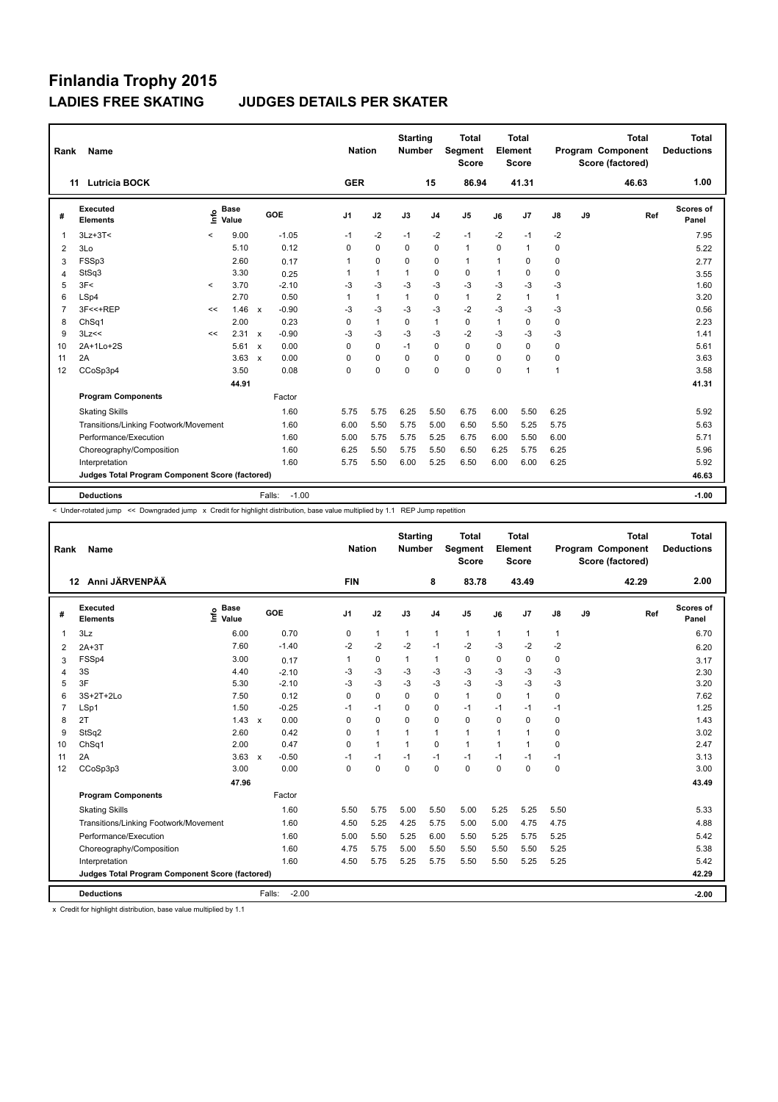| Rank           | Name                                            |       |                      |                           |                   | <b>Nation</b>  |              | <b>Starting</b><br><b>Number</b> |                | <b>Total</b><br>Segment<br><b>Score</b> |                | Total<br>Element<br><b>Score</b> |              |    | <b>Total</b><br>Program Component<br>Score (factored) | Total<br><b>Deductions</b> |
|----------------|-------------------------------------------------|-------|----------------------|---------------------------|-------------------|----------------|--------------|----------------------------------|----------------|-----------------------------------------|----------------|----------------------------------|--------------|----|-------------------------------------------------------|----------------------------|
|                | <b>Lutricia BOCK</b><br>11                      |       |                      |                           |                   | <b>GER</b>     |              |                                  | 15             | 86.94                                   |                | 41.31                            |              |    | 46.63                                                 | 1.00                       |
| #              | Executed<br><b>Elements</b>                     | lnfo  | <b>Base</b><br>Value |                           | GOE               | J <sub>1</sub> | J2           | J3                               | J <sub>4</sub> | J <sub>5</sub>                          | J6             | J7                               | J8           | J9 | Ref                                                   | Scores of<br>Panel         |
| $\mathbf{1}$   | $3Lz + 3T <$                                    | $\,<$ | 9.00                 |                           | $-1.05$           | $-1$           | $-2$         | $-1$                             | $-2$           | $-1$                                    | $-2$           | $-1$                             | $-2$         |    |                                                       | 7.95                       |
| 2              | 3Lo                                             |       | 5.10                 |                           | 0.12              | $\Omega$       | $\Omega$     | $\Omega$                         | $\mathbf 0$    | $\mathbf{1}$                            | $\Omega$       | $\mathbf{1}$                     | 0            |    |                                                       | 5.22                       |
| 3              | FSSp3                                           |       | 2.60                 |                           | 0.17              | 1              | $\mathbf 0$  | $\Omega$                         | 0              | $\mathbf{1}$                            | $\mathbf{1}$   | $\Omega$                         | 0            |    |                                                       | 2.77                       |
| 4              | StSq3                                           |       | 3.30                 |                           | 0.25              | 1              | $\mathbf{1}$ | 1                                | $\mathbf 0$    | 0                                       | $\mathbf{1}$   | 0                                | 0            |    |                                                       | 3.55                       |
| 5              | 3F<                                             | $\,<$ | 3.70                 |                           | $-2.10$           | $-3$           | $-3$         | $-3$                             | $-3$           | $-3$                                    | $-3$           | $-3$                             | $-3$         |    |                                                       | 1.60                       |
| 6              | LSp4                                            |       | 2.70                 |                           | 0.50              | 1              | $\mathbf{1}$ | $\mathbf{1}$                     | 0              | $\mathbf{1}$                            | $\overline{2}$ | $\mathbf{1}$                     | $\mathbf{1}$ |    |                                                       | 3.20                       |
| $\overline{7}$ | 3F<<+REP                                        | <<    | 1.46                 | $\boldsymbol{\mathsf{x}}$ | $-0.90$           | $-3$           | $-3$         | $-3$                             | $-3$           | $-2$                                    | $-3$           | $-3$                             | $-3$         |    |                                                       | 0.56                       |
| 8              | ChSq1                                           |       | 2.00                 |                           | 0.23              | 0              | $\mathbf{1}$ | 0                                | $\mathbf{1}$   | 0                                       | $\mathbf{1}$   | 0                                | 0            |    |                                                       | 2.23                       |
| 9              | 3Lz<<                                           | <<    | 2.31                 | $\boldsymbol{\mathsf{x}}$ | $-0.90$           | $-3$           | $-3$         | $-3$                             | $-3$           | $-2$                                    | $-3$           | $-3$                             | $-3$         |    |                                                       | 1.41                       |
| 10             | 2A+1Lo+2S                                       |       | $5.61 \times$        |                           | 0.00              | $\Omega$       | $\mathbf 0$  | $-1$                             | $\Omega$       | $\mathbf 0$                             | $\Omega$       | $\Omega$                         | $\mathbf 0$  |    |                                                       | 5.61                       |
| 11             | 2A                                              |       | 3.63                 | $\mathbf{x}$              | 0.00              | 0              | $\mathbf 0$  | $\Omega$                         | $\mathbf 0$    | $\mathbf 0$                             | $\Omega$       | $\Omega$                         | 0            |    |                                                       | 3.63                       |
| 12             | CCoSp3p4                                        |       | 3.50                 |                           | 0.08              | 0              | $\mathbf 0$  | $\Omega$                         | $\Omega$       | $\mathbf 0$                             | $\Omega$       | 1                                | $\mathbf{1}$ |    |                                                       | 3.58                       |
|                |                                                 |       | 44.91                |                           |                   |                |              |                                  |                |                                         |                |                                  |              |    |                                                       | 41.31                      |
|                | <b>Program Components</b>                       |       |                      |                           | Factor            |                |              |                                  |                |                                         |                |                                  |              |    |                                                       |                            |
|                | <b>Skating Skills</b>                           |       |                      |                           | 1.60              | 5.75           | 5.75         | 6.25                             | 5.50           | 6.75                                    | 6.00           | 5.50                             | 6.25         |    |                                                       | 5.92                       |
|                | Transitions/Linking Footwork/Movement           |       |                      |                           | 1.60              | 6.00           | 5.50         | 5.75                             | 5.00           | 6.50                                    | 5.50           | 5.25                             | 5.75         |    |                                                       | 5.63                       |
|                | Performance/Execution                           |       |                      |                           | 1.60              | 5.00           | 5.75         | 5.75                             | 5.25           | 6.75                                    | 6.00           | 5.50                             | 6.00         |    |                                                       | 5.71                       |
|                | Choreography/Composition                        |       |                      |                           | 1.60              | 6.25           | 5.50         | 5.75                             | 5.50           | 6.50                                    | 6.25           | 5.75                             | 6.25         |    |                                                       | 5.96                       |
|                | Interpretation                                  |       |                      |                           | 1.60              | 5.75           | 5.50         | 6.00                             | 5.25           | 6.50                                    | 6.00           | 6.00                             | 6.25         |    |                                                       | 5.92                       |
|                | Judges Total Program Component Score (factored) |       |                      |                           |                   |                |              |                                  |                |                                         |                |                                  |              |    |                                                       | 46.63                      |
|                | <b>Deductions</b>                               |       |                      |                           | $-1.00$<br>Falls: |                |              |                                  |                |                                         |                |                                  |              |    |                                                       | $-1.00$                    |

< Under-rotated jump << Downgraded jump x Credit for highlight distribution, base value multiplied by 1.1 REP Jump repetition

| Rank           | <b>Name</b>                                     |                                  |                         | <b>Nation</b>  |              | <b>Starting</b><br><b>Number</b> |                | <b>Total</b><br>Segment<br><b>Score</b> |              | <b>Total</b><br>Element<br><b>Score</b> |      |    | <b>Total</b><br>Program Component<br>Score (factored) | <b>Total</b><br><b>Deductions</b> |
|----------------|-------------------------------------------------|----------------------------------|-------------------------|----------------|--------------|----------------------------------|----------------|-----------------------------------------|--------------|-----------------------------------------|------|----|-------------------------------------------------------|-----------------------------------|
|                | 12 Anni JÄRVENPÄÄ                               |                                  |                         | <b>FIN</b>     |              |                                  | 8              | 83.78                                   |              | 43.49                                   |      |    | 42.29                                                 | 2.00                              |
| #              | Executed<br><b>Elements</b>                     | <b>Base</b><br>e Base<br>⊆ Value | GOE                     | J <sub>1</sub> | J2           | J3                               | J <sub>4</sub> | J <sub>5</sub>                          | J6           | J7                                      | J8   | J9 | Ref                                                   | Scores of<br>Panel                |
| 1              | 3Lz                                             | 6.00                             | 0.70                    | 0              | $\mathbf{1}$ | $\mathbf{1}$                     | $\mathbf{1}$   | $\mathbf{1}$                            | $\mathbf{1}$ | 1                                       | 1    |    |                                                       | 6.70                              |
| 2              | $2A+3T$                                         | 7.60                             | $-1.40$                 | $-2$           | $-2$         | $-2$                             | $-1$           | $-2$                                    | $-3$         | $-2$                                    | $-2$ |    |                                                       | 6.20                              |
| 3              | FSSp4                                           | 3.00                             | 0.17                    |                | 0            | $\mathbf{1}$                     | $\mathbf{1}$   | 0                                       | 0            | 0                                       | 0    |    |                                                       | 3.17                              |
| $\overline{4}$ | 3S                                              | 4.40                             | $-2.10$                 | -3             | $-3$         | $-3$                             | $-3$           | $-3$                                    | $-3$         | $-3$                                    | $-3$ |    |                                                       | 2.30                              |
| 5              | 3F                                              | 5.30                             | $-2.10$                 | $-3$           | $-3$         | $-3$                             | $-3$           | $-3$                                    | $-3$         | $-3$                                    | $-3$ |    |                                                       | 3.20                              |
| 6              | 3S+2T+2Lo                                       | 7.50                             | 0.12                    | $\Omega$       | $\mathbf 0$  | $\Omega$                         | $\mathbf 0$    | $\mathbf{1}$                            | $\Omega$     | $\mathbf{1}$                            | 0    |    |                                                       | 7.62                              |
| $\overline{7}$ | LSp1                                            | 1.50                             | $-0.25$                 | $-1$           | $-1$         | 0                                | 0              | $-1$                                    | $-1$         | $-1$                                    | $-1$ |    |                                                       | 1.25                              |
| 8              | 2T                                              | 1.43                             | 0.00<br>$\mathsf{x}$    | 0              | $\mathbf 0$  | 0                                | $\mathbf 0$    | $\mathbf 0$                             | $\Omega$     | 0                                       | 0    |    |                                                       | 1.43                              |
| 9              | StSq2                                           | 2.60                             | 0.42                    | 0              | $\mathbf{1}$ |                                  | 1              | $\mathbf{1}$                            | 1            | 1                                       | 0    |    |                                                       | 3.02                              |
| 10             | ChSq1                                           | 2.00                             | 0.47                    | 0              | $\mathbf{1}$ | $\mathbf{1}$                     | $\mathbf 0$    | $\mathbf{1}$                            | $\mathbf{1}$ | 1                                       | 0    |    |                                                       | 2.47                              |
| 11             | 2A                                              | 3.63                             | $-0.50$<br>$\mathbf{x}$ | $-1$           | $-1$         | $-1$                             | $-1$           | $-1$                                    | $-1$         | $-1$                                    | $-1$ |    |                                                       | 3.13                              |
| 12             | CCoSp3p3                                        | 3.00                             | 0.00                    | $\Omega$       | $\Omega$     | $\Omega$                         | $\Omega$       | $\Omega$                                | $\Omega$     | $\Omega$                                | 0    |    |                                                       | 3.00                              |
|                |                                                 | 47.96                            |                         |                |              |                                  |                |                                         |              |                                         |      |    |                                                       | 43.49                             |
|                | <b>Program Components</b>                       |                                  | Factor                  |                |              |                                  |                |                                         |              |                                         |      |    |                                                       |                                   |
|                | <b>Skating Skills</b>                           |                                  | 1.60                    | 5.50           | 5.75         | 5.00                             | 5.50           | 5.00                                    | 5.25         | 5.25                                    | 5.50 |    |                                                       | 5.33                              |
|                | Transitions/Linking Footwork/Movement           |                                  | 1.60                    | 4.50           | 5.25         | 4.25                             | 5.75           | 5.00                                    | 5.00         | 4.75                                    | 4.75 |    |                                                       | 4.88                              |
|                | Performance/Execution                           |                                  | 1.60                    | 5.00           | 5.50         | 5.25                             | 6.00           | 5.50                                    | 5.25         | 5.75                                    | 5.25 |    |                                                       | 5.42                              |
|                | Choreography/Composition                        |                                  | 1.60                    | 4.75           | 5.75         | 5.00                             | 5.50           | 5.50                                    | 5.50         | 5.50                                    | 5.25 |    |                                                       | 5.38                              |
|                | Interpretation                                  |                                  | 1.60                    | 4.50           | 5.75         | 5.25                             | 5.75           | 5.50                                    | 5.50         | 5.25                                    | 5.25 |    |                                                       | 5.42                              |
|                | Judges Total Program Component Score (factored) |                                  |                         |                |              |                                  |                |                                         |              |                                         |      |    |                                                       | 42.29                             |
|                | <b>Deductions</b>                               |                                  | $-2.00$<br>Falls:       |                |              |                                  |                |                                         |              |                                         |      |    |                                                       | $-2.00$                           |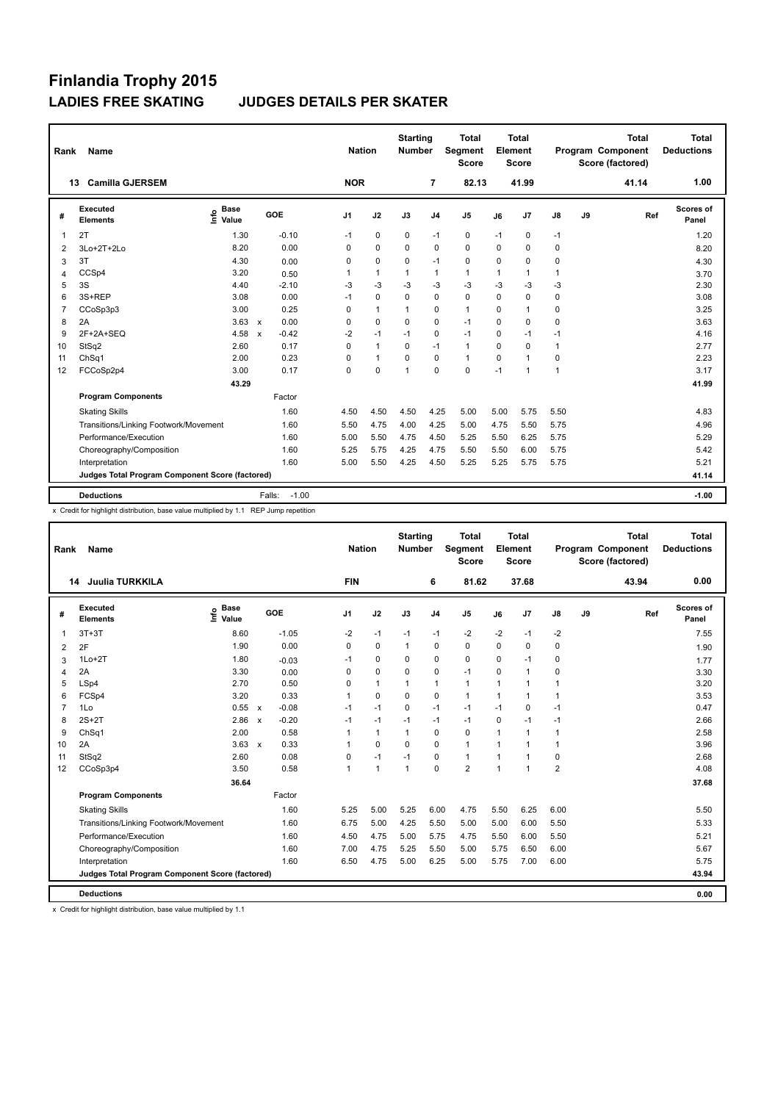| Rank           | <b>Name</b>                                     |                            |                           |         | <b>Nation</b>  |              | <b>Starting</b><br><b>Number</b> |                | <b>Total</b><br><b>Segment</b><br><b>Score</b> |             | <b>Total</b><br>Element<br><b>Score</b> |              |    | <b>Total</b><br>Program Component<br>Score (factored) | <b>Total</b><br><b>Deductions</b> |
|----------------|-------------------------------------------------|----------------------------|---------------------------|---------|----------------|--------------|----------------------------------|----------------|------------------------------------------------|-------------|-----------------------------------------|--------------|----|-------------------------------------------------------|-----------------------------------|
|                | <b>Camilla GJERSEM</b><br>13                    |                            |                           |         | <b>NOR</b>     |              |                                  | $\overline{7}$ | 82.13                                          |             | 41.99                                   |              |    | 41.14                                                 | 1.00                              |
| #              | Executed<br><b>Elements</b>                     | <b>Base</b><br>۴ů<br>Value | GOE                       |         | J <sub>1</sub> | J2           | J3                               | J <sub>4</sub> | J <sub>5</sub>                                 | J6          | J7                                      | J8           | J9 | Ref                                                   | <b>Scores of</b><br>Panel         |
| 1              | 2T                                              | 1.30                       |                           | $-0.10$ | $-1$           | 0            | 0                                | $-1$           | 0                                              | $-1$        | 0                                       | $-1$         |    |                                                       | 1.20                              |
| 2              | 3Lo+2T+2Lo                                      | 8.20                       |                           | 0.00    | 0              | $\mathbf 0$  | $\Omega$                         | $\mathbf 0$    | $\mathbf 0$                                    | 0           | 0                                       | $\mathbf 0$  |    |                                                       | 8.20                              |
| 3              | 3T                                              | 4.30                       |                           | 0.00    | 0              | $\mathbf 0$  | 0                                | $-1$           | $\mathbf 0$                                    | 0           | 0                                       | 0            |    |                                                       | 4.30                              |
| $\overline{4}$ | CCSp4                                           | 3.20                       |                           | 0.50    | 1              | $\mathbf{1}$ | 1                                | $\overline{1}$ | $\mathbf{1}$                                   | 1           | $\mathbf{1}$                            | $\mathbf{1}$ |    |                                                       | 3.70                              |
| 5              | 3S                                              | 4.40                       |                           | $-2.10$ | $-3$           | $-3$         | $-3$                             | $-3$           | $-3$                                           | $-3$        | $-3$                                    | $-3$         |    |                                                       | 2.30                              |
| 6              | 3S+REP                                          | 3.08                       |                           | 0.00    | $-1$           | 0            | 0                                | 0              | 0                                              | 0           | 0                                       | 0            |    |                                                       | 3.08                              |
| $\overline{7}$ | CCoSp3p3                                        | 3.00                       |                           | 0.25    | 0              | $\mathbf{1}$ | 1                                | 0              | $\mathbf{1}$                                   | 0           | 1                                       | 0            |    |                                                       | 3.25                              |
| 8              | 2A                                              | 3.63                       | $\mathbf{x}$              | 0.00    | 0              | $\mathbf 0$  | $\Omega$                         | $\mathbf 0$    | $-1$                                           | $\mathbf 0$ | 0                                       | 0            |    |                                                       | 3.63                              |
| 9              | 2F+2A+SEQ                                       | 4.58                       | $\boldsymbol{\mathsf{x}}$ | $-0.42$ | $-2$           | $-1$         | $-1$                             | $\mathbf 0$    | $-1$                                           | $\mathbf 0$ | $-1$                                    | $-1$         |    |                                                       | 4.16                              |
| 10             | StSq2                                           | 2.60                       |                           | 0.17    | $\Omega$       | $\mathbf{1}$ | $\Omega$                         | $-1$           | $\mathbf{1}$                                   | $\Omega$    | $\Omega$                                | 1            |    |                                                       | 2.77                              |
| 11             | ChSq1                                           | 2.00                       |                           | 0.23    | 0              | $\mathbf{1}$ | 0                                | 0              | $\mathbf{1}$                                   | 0           | $\blacktriangleleft$                    | 0            |    |                                                       | 2.23                              |
| 12             | FCCoSp2p4                                       | 3.00                       |                           | 0.17    | 0              | $\mathbf 0$  | 1                                | $\Omega$       | $\mathbf 0$                                    | $-1$        | 1                                       | $\mathbf{1}$ |    |                                                       | 3.17                              |
|                |                                                 | 43.29                      |                           |         |                |              |                                  |                |                                                |             |                                         |              |    |                                                       | 41.99                             |
|                | <b>Program Components</b>                       |                            |                           | Factor  |                |              |                                  |                |                                                |             |                                         |              |    |                                                       |                                   |
|                | <b>Skating Skills</b>                           |                            |                           | 1.60    | 4.50           | 4.50         | 4.50                             | 4.25           | 5.00                                           | 5.00        | 5.75                                    | 5.50         |    |                                                       | 4.83                              |
|                | Transitions/Linking Footwork/Movement           |                            |                           | 1.60    | 5.50           | 4.75         | 4.00                             | 4.25           | 5.00                                           | 4.75        | 5.50                                    | 5.75         |    |                                                       | 4.96                              |
|                | Performance/Execution                           |                            |                           | 1.60    | 5.00           | 5.50         | 4.75                             | 4.50           | 5.25                                           | 5.50        | 6.25                                    | 5.75         |    |                                                       | 5.29                              |
|                | Choreography/Composition                        |                            |                           | 1.60    | 5.25           | 5.75         | 4.25                             | 4.75           | 5.50                                           | 5.50        | 6.00                                    | 5.75         |    |                                                       | 5.42                              |
|                | Interpretation                                  |                            |                           | 1.60    | 5.00           | 5.50         | 4.25                             | 4.50           | 5.25                                           | 5.25        | 5.75                                    | 5.75         |    |                                                       | 5.21                              |
|                | Judges Total Program Component Score (factored) |                            |                           |         |                |              |                                  |                |                                                |             |                                         |              |    |                                                       | 41.14                             |
|                | <b>Deductions</b>                               |                            | Falls:                    | $-1.00$ |                |              |                                  |                |                                                |             |                                         |              |    |                                                       | $-1.00$                           |

x Credit for highlight distribution, base value multiplied by 1.1 REP Jump repetition

| <b>Name</b>                 |                                                             |                                                            |                                                 |              |               |                | <b>Total</b><br><b>Score</b>     |              |                |                                         |               | <b>Total</b> | <b>Total</b><br><b>Deductions</b>            |
|-----------------------------|-------------------------------------------------------------|------------------------------------------------------------|-------------------------------------------------|--------------|---------------|----------------|----------------------------------|--------------|----------------|-----------------------------------------|---------------|--------------|----------------------------------------------|
| <b>Juulia TURKKILA</b>      |                                                             |                                                            | <b>FIN</b>                                      |              |               | 6              | 81.62                            |              | 37.68          |                                         |               | 43.94        | 0.00                                         |
| Executed<br><b>Elements</b> | <b>Base</b>                                                 | GOE                                                        | J <sub>1</sub>                                  | J2           | J3            | J <sub>4</sub> | J <sub>5</sub>                   | J6           | J7             | $\mathsf{J}8$                           | $\mathsf{J9}$ |              | Scores of<br>Panel                           |
| $3T+3T$                     | 8.60                                                        | $-1.05$                                                    | $-2$                                            | $-1$         | $-1$          | $-1$           | $-2$                             | $-2$         | $-1$           | $-2$                                    |               |              | 7.55                                         |
| 2F                          | 1.90                                                        | 0.00                                                       | 0                                               | $\mathbf 0$  | $\mathbf{1}$  | 0              | $\Omega$                         | $\Omega$     | $\Omega$       | 0                                       |               |              | 1.90                                         |
| $1Lo+2T$                    | 1.80                                                        | $-0.03$                                                    | $-1$                                            | 0            | 0             | 0              | 0                                | 0            | $-1$           | 0                                       |               |              | 1.77                                         |
| 2A                          | 3.30                                                        | 0.00                                                       | 0                                               | $\mathbf 0$  | 0             | $\mathbf 0$    | $-1$                             | 0            | 1              | 0                                       |               |              | 3.30                                         |
| LSp4                        | 2.70                                                        | 0.50                                                       | 0                                               | $\mathbf{1}$ | $\mathbf{1}$  | $\mathbf{1}$   | $\mathbf{1}$                     | 1            | 1              | $\mathbf{1}$                            |               |              | 3.20                                         |
| FCSp4                       | 3.20                                                        | 0.33                                                       | 1                                               | $\mathbf 0$  | 0             | $\mathbf 0$    | $\mathbf{1}$                     | $\mathbf{1}$ | 1              | 1                                       |               |              | 3.53                                         |
| 1Lo                         | 0.55                                                        | $-0.08$<br>$\mathsf{x}$                                    | $-1$                                            | $-1$         | $\Omega$      | $-1$           | $-1$                             | $-1$         | $\mathbf 0$    | $-1$                                    |               |              | 0.47                                         |
| $2S+2T$                     | 2.86                                                        | $-0.20$<br>$\boldsymbol{\mathsf{x}}$                       | $-1$                                            | $-1$         | $-1$          | $-1$           | $-1$                             | 0            | $-1$           | $-1$                                    |               |              | 2.66                                         |
| ChSq1                       | 2.00                                                        | 0.58                                                       | 1                                               | $\mathbf{1}$ | 1             | $\mathbf 0$    | $\mathbf 0$                      | 1            | $\mathbf 1$    | 1                                       |               |              | 2.58                                         |
| 2A                          | 3.63                                                        | 0.33<br>$\boldsymbol{\mathsf{x}}$                          |                                                 | $\mathbf 0$  | $\mathbf 0$   | $\mathbf 0$    | $\mathbf{1}$                     | 1            | 1              | 1                                       |               |              | 3.96                                         |
| StSq2                       | 2.60                                                        | 0.08                                                       | 0                                               | $-1$         | $-1$          | $\Omega$       | $\mathbf{1}$                     | $\mathbf{1}$ | 1              | 0                                       |               |              | 2.68                                         |
| CCoSp3p4                    | 3.50                                                        | 0.58                                                       | $\blacktriangleleft$                            | $\mathbf{1}$ | $\mathbf{1}$  | $\Omega$       | $\overline{2}$                   | $\mathbf{1}$ | $\overline{1}$ | $\overline{2}$                          |               |              | 4.08                                         |
|                             | 36.64                                                       |                                                            |                                                 |              |               |                |                                  |              |                |                                         |               |              | 37.68                                        |
| <b>Program Components</b>   |                                                             | Factor                                                     |                                                 |              |               |                |                                  |              |                |                                         |               |              |                                              |
| <b>Skating Skills</b>       |                                                             | 1.60                                                       | 5.25                                            | 5.00         | 5.25          | 6.00           | 4.75                             | 5.50         | 6.25           | 6.00                                    |               |              | 5.50                                         |
|                             |                                                             | 1.60                                                       | 6.75                                            | 5.00         | 4.25          | 5.50           | 5.00                             | 5.00         | 6.00           | 5.50                                    |               |              | 5.33                                         |
| Performance/Execution       |                                                             | 1.60                                                       | 4.50                                            | 4.75         | 5.00          | 5.75           | 4.75                             | 5.50         | 6.00           | 5.50                                    |               |              | 5.21                                         |
|                             |                                                             | 1.60                                                       | 7.00                                            | 4.75         | 5.25          | 5.50           | 5.00                             | 5.75         | 6.50           | 6.00                                    |               |              | 5.67                                         |
| Interpretation              |                                                             | 1.60                                                       | 6.50                                            | 4.75         | 5.00          | 6.25           | 5.00                             | 5.75         | 7.00           | 6.00                                    |               |              | 5.75                                         |
|                             |                                                             |                                                            |                                                 |              |               |                |                                  |              |                |                                         |               |              | 43.94                                        |
|                             |                                                             |                                                            |                                                 |              |               |                |                                  |              |                |                                         |               |              | 0.00                                         |
|                             | Rank<br>14<br>Choreography/Composition<br><b>Deductions</b> | e Base<br>E Value<br>Transitions/Linking Footwork/Movement | Judges Total Program Component Score (factored) |              | <b>Nation</b> |                | <b>Starting</b><br><b>Number</b> | Segment      |                | <b>Total</b><br>Element<br><b>Score</b> |               |              | Program Component<br>Score (factored)<br>Ref |